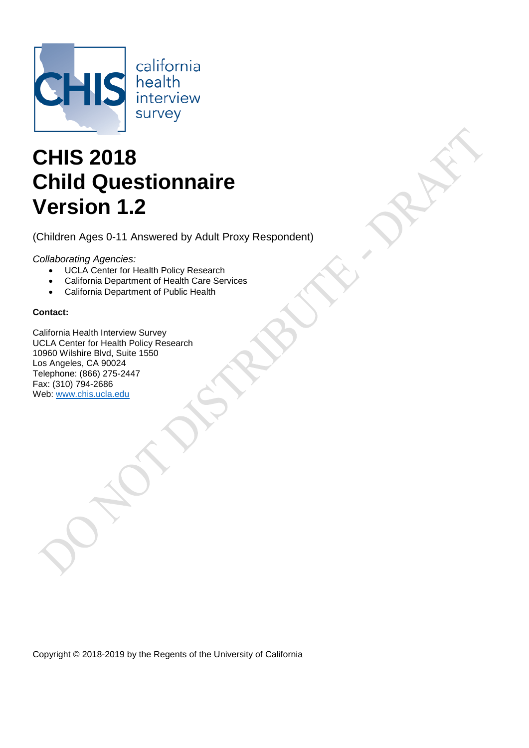

# **CHIS 2018 Child Questionnaire Version 1.2**

(Children Ages 0-11 Answered by Adult Proxy Respondent)

*Collaborating Agencies:*

- UCLA Center for Health Policy Research
- California Department of Health Care Services
- California Department of Public Health

### **Contact:**

California Health Interview Survey UCLA Center for Health Policy Research 10960 Wilshire Blvd, Suite 1550 Los Angeles, CA 90024 Telephone: (866) 275-2447 Fax: (310) 794-2686 Web: [www.chis.ucla.edu](file://Center.local/Net%20Access/CHIS%20Central/CHIS%202018/Instruments/Child/www.chis.ucla.edu)

Copyright © 2018-2019 by the Regents of the University of California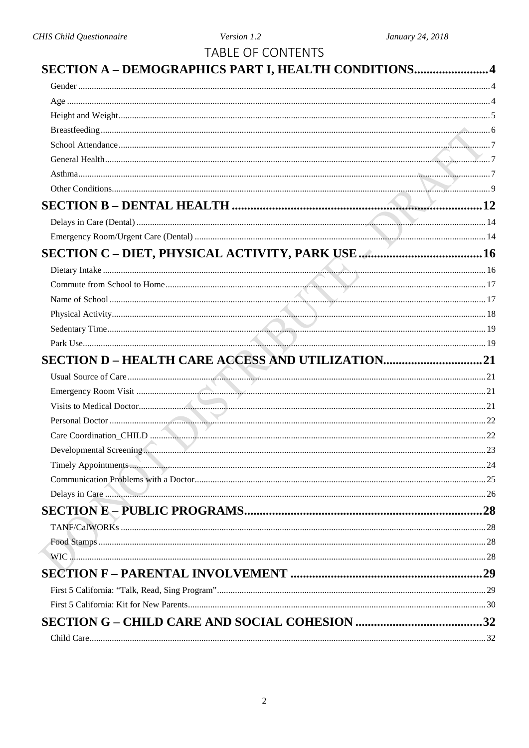| <b>TABLE OF CONTENTS</b>                            |  |
|-----------------------------------------------------|--|
| SECTION A - DEMOGRAPHICS PART I, HEALTH CONDITIONS4 |  |
|                                                     |  |
|                                                     |  |
|                                                     |  |
|                                                     |  |
|                                                     |  |
|                                                     |  |
|                                                     |  |
|                                                     |  |
|                                                     |  |
|                                                     |  |
|                                                     |  |
|                                                     |  |
|                                                     |  |
|                                                     |  |
|                                                     |  |
|                                                     |  |
|                                                     |  |
|                                                     |  |
|                                                     |  |
|                                                     |  |
|                                                     |  |
|                                                     |  |
|                                                     |  |
|                                                     |  |
|                                                     |  |
|                                                     |  |
|                                                     |  |
|                                                     |  |
|                                                     |  |
|                                                     |  |
|                                                     |  |
|                                                     |  |
|                                                     |  |
|                                                     |  |
|                                                     |  |
|                                                     |  |
|                                                     |  |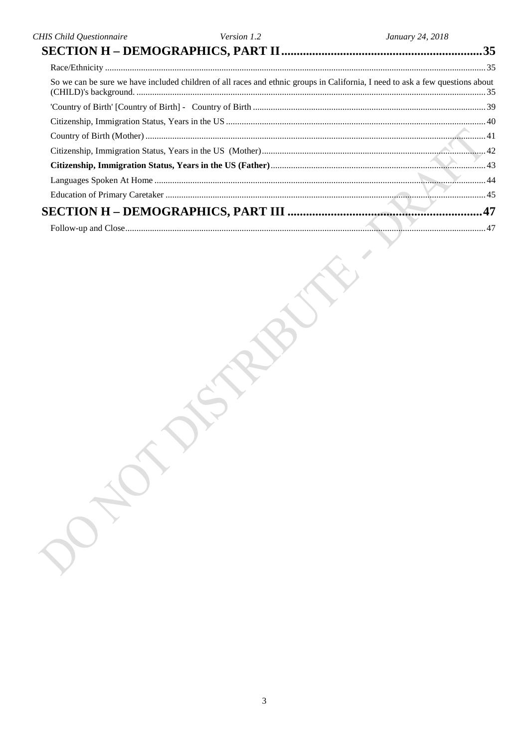| CHIS Child Questionnaire | Version 1.2 | January 24, 2018                                                                                                              |
|--------------------------|-------------|-------------------------------------------------------------------------------------------------------------------------------|
|                          |             |                                                                                                                               |
|                          |             |                                                                                                                               |
|                          |             | So we can be sure we have included children of all races and ethnic groups in California, I need to ask a few questions about |
|                          |             |                                                                                                                               |
|                          |             |                                                                                                                               |
|                          |             |                                                                                                                               |
|                          |             |                                                                                                                               |
|                          |             |                                                                                                                               |
|                          |             |                                                                                                                               |
|                          |             |                                                                                                                               |
|                          |             |                                                                                                                               |
|                          |             |                                                                                                                               |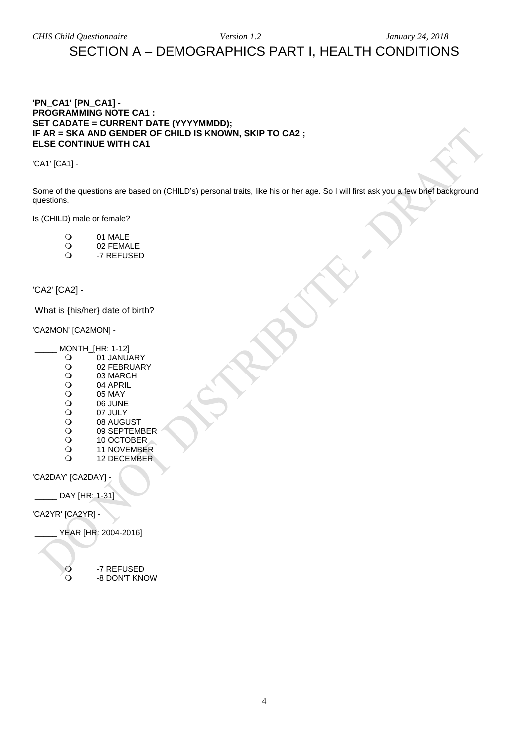### <span id="page-3-0"></span>SECTION A – DEMOGRAPHICS PART I, HEALTH CONDITIONS

### <span id="page-3-1"></span>**'PN\_CA1' [PN\_CA1] - PROGRAMMING NOTE CA1 : SET CADATE = CURRENT DATE (YYYYMMDD); IF AR = SKA AND GENDER OF CHILD IS KNOWN, SKIP TO CA2 ; ELSE CONTINUE WITH CA1**

'CA1' [CA1] -

Some of the questions are based on (CHILD's) personal traits, like his or her age. So I will first ask you a few brief background questions.

Is (CHILD) male or female?

- O 01 MALE<br>O 02 FEMA
- O 02 FEMALE<br>O -7 REFUSEI
- -7 REFUSED

### <span id="page-3-2"></span>'CA2' [CA2] -

What is {his/her} date of birth?

### 'CA2MON' [CA2MON] -

- $\begin{bmatrix} \text{MONTH\_[HR: 1-12]} \\ \text{O} & \text{01 JANU} \end{bmatrix}$ 
	- O 01 JANUARY<br>O 02 FEBRUAR
	- O 02 FEBRUARY<br>O 03 MARCH
	- O 03 MARCH<br>O 04 APRIL
	- O 04 APRIL<br>O 05 MAY
	- O 05 MAY<br>O 06 JUNE
	- O 06 JUNE<br>O 07 JULY
	- O 07 JULY<br>O 08 AUGL
	- O 08 AUGUST<br>O 09 SEPTEMI
	- O 09 SEPTEMBER<br>O 10 OCTOBER
	- O
	10 OCTOBER
	O
	11 NOVEMBEI O
	11 NOVEMBER
	O
	12 DECEMBER
	- 12 DECEMBER

'CA2DAY' [CA2DAY] -

\_\_\_\_\_ DAY [HR: 1-31]

'CA2YR' [CA2YR] -

\_\_\_\_\_ YEAR [HR: 2004-2016]

O -7 REFUSED<br>O -8 DON'T KN -8 DON'T KNOW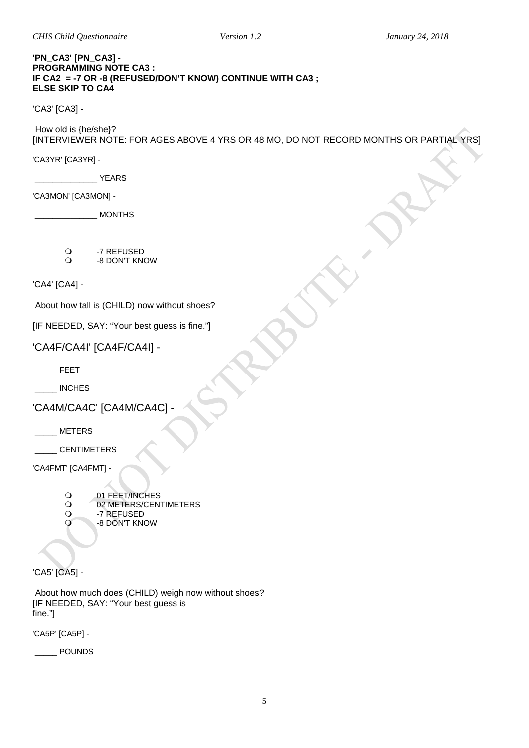*CHIS Child Questionnaire Version 1.2 January 24, 2018*

### **'PN\_CA3' [PN\_CA3] - PROGRAMMING NOTE CA3 : IF CA2 = -7 OR -8 (REFUSED/DON'T KNOW) CONTINUE WITH CA3 ; ELSE SKIP TO CA4**

'CA3' [CA3] -

How old is {he/she}?

[INTERVIEWER NOTE: FOR AGES ABOVE 4 YRS OR 48 MO, DO NOT RECORD MONTHS OR PARTIAL YRS]

'CA3YR' [CA3YR] -

\_\_\_\_\_\_\_\_\_\_\_\_\_\_ YEARS

'CA3MON' [CA3MON] -

\_\_\_\_\_\_\_\_\_\_\_\_\_\_ MONTHS

- O -7 REFUSED<br>O -8 DON'T KN
- -8 DON'T KNOW

<span id="page-4-0"></span>'CA4' [CA4] -

About how tall is (CHILD) now without shoes?

| [IF NEEDED, SAY: "Your best guess is fine."] |  |  |  |  |  |  |
|----------------------------------------------|--|--|--|--|--|--|
|----------------------------------------------|--|--|--|--|--|--|

'CA4F/CA4I' [CA4F/CA4I] -

 $\overline{\phantom{a}}$  FEET

\_\_\_\_\_ INCHES

'CA4M/CA4C' [CA4M/CA4C] -

\_\_\_\_\_ METERS

\_\_\_\_\_ CENTIMETERS

'CA4FMT' [CA4FMT] -

- O 01 FEET/INCHES<br>O 02 METERS/CENT
- O 02 METERS/CENTIMETERS<br>O 7 REFUSED
- O -7 REFUSED<br>O -8 DON'T KN
- -8 DON'T KNOW

'CA5' [CA5] -

About how much does (CHILD) weigh now without shoes? [IF NEEDED, SAY: "Your best guess is fine."]

'CA5P' [CA5P] -

\_\_\_\_\_ POUNDS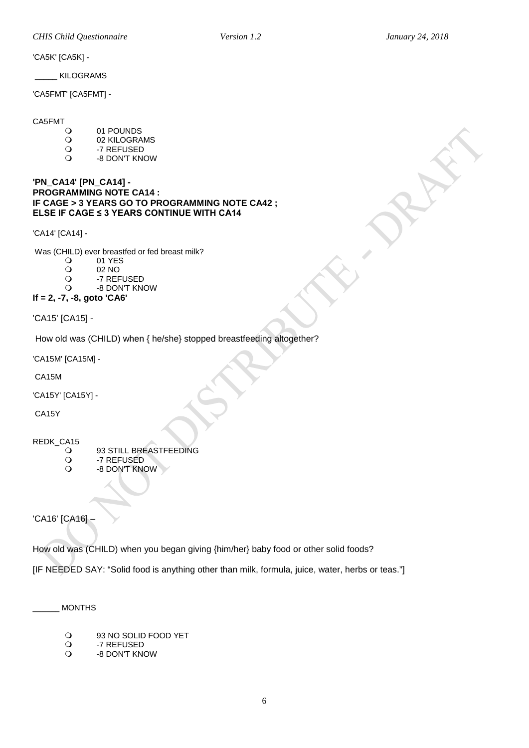'CA5K' [CA5K] -

\_\_\_\_\_ KILOGRAMS

'CA5FMT' [CA5FMT] -

CA5FMT

- O 01 POUNDS<br>O 02 KILOGRA
- O 02 KILOGRAMS<br>O -7 REFUSED
- O -7 REFUSED<br>O -8 DON'T KN
- -8 DON'T KNOW

### <span id="page-5-0"></span>**'PN\_CA14' [PN\_CA14] - PROGRAMMING NOTE CA14 : IF CAGE > 3 YEARS GO TO PROGRAMMING NOTE CA42 ; ELSE IF CAGE ≤ 3 YEARS CONTINUE WITH CA14**

'CA14' [CA14] -

Was (CHILD) ever breastfed or fed breast milk?

- O 01 YES<br>O 02 NO
- O 02 NO<br>O -7 REF
- O -7 REFUSED<br>O -8 DON'T KN -8 DON'T KNOW
- 

**If = 2, -7, -8, goto 'CA6'**

'CA15' [CA15] -

How old was (CHILD) when { he/she} stopped breastfeeding altogether?

'CA15M' [CA15M] -

CA15M

'CA15Y' [CA15Y] -

CA15Y

REDK\_CA15

- O 93 STILL BREASTFEEDING<br>O 7 REFUSED
- O -7 REFUSED<br>O -8 DON'T KN -8 DON'T KNOW

'CA16' [CA16] –

How old was (CHILD) when you began giving {him/her} baby food or other solid foods?

[IF NEEDED SAY: "Solid food is anything other than milk, formula, juice, water, herbs or teas."]

\_\_\_\_\_\_ MONTHS

- O 93 NO SOLID FOOD YET<br>O -7 REFUSED
- O -7 REFUSED<br>O -8 DON'T KN
- -8 DON'T KNOW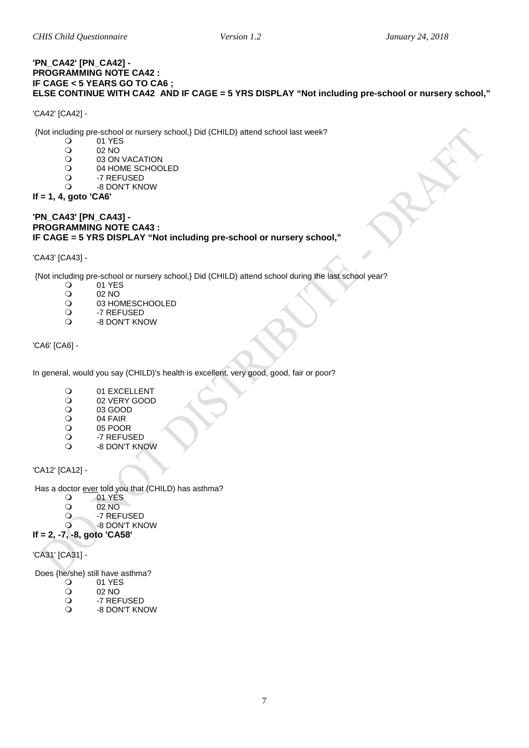### <span id="page-6-0"></span>**'PN\_CA42' [PN\_CA42] - PROGRAMMING NOTE CA42 : IF CAGE < 5 YEARS GO TO CA6 ; ELSE CONTINUE WITH CA42 AND IF CAGE = 5 YRS DISPLAY "Not including pre-school or nursery school,"**

'CA42' [CA42] -

{Not including pre-school or nursery school,} Did (CHILD) attend school last week?

- O 01 YES<br>O 02 NO
- O 02 NO<br>O 03 ON
- O 03 ON VACATION<br>O 04 HOME SCHOO
- O 04 HOME SCHOOLED<br>O -7 REFUSED
- O -7 REFUSED<br>O -8 DON'T KN
- -8 DON'T KNOW

### **If = 1, 4, goto 'CA6'**

### **'PN\_CA43' [PN\_CA43] - PROGRAMMING NOTE CA43 : IF CAGE = 5 YRS DISPLAY "Not including pre-school or nursery school,"**

'CA43' [CA43] -

{Not including pre-school or nursery school,} Did (CHILD) attend school during the last school year?

- O 01 YES<br>O 02 NO
- O 02 NO<br>O 03 HO
- O 03 HOMESCHOOLED<br>Q -7 REFUSED
- O -7 REFUSED<br>O -8 DON'T KN
- -8 DON'T KNOW

<span id="page-6-1"></span>'CA6' [CA6] -

In general, would you say (CHILD)'s health is excellent, very good, good, fair or poor?

- O
01 EXCELLENT
02 VERY GOOD
- 02 VERY GOOD<br>02 03 GOOD
- O 03 GOOD<br>O 04 FAIR
- O 04 FAIR<br>O 05 POOI
- O 05 POOR<br>O -7 REFUS
- O -7 REFUSED<br>O -8 DON'T KN -8 DON'T KNOW

<span id="page-6-2"></span>'CA12' [CA12] -

Has a doctor ever told you that (CHILD) has asthma?

- $\overline{O}$  01 YES
- 02 NO<br>
0 -7 REF
- -7 REFUSED
- -8 DON'T KNOW
- **If = 2, -7, -8, goto 'CA58'**

'CA31' [CA31] -

Does {he/she} still have asthma?<br>
O 01 YES

- O 01 YES<br>O 02 NO
- O 02 NO<br>O -7 REF
- O -7 REFUSED
- -8 DON'T KNOW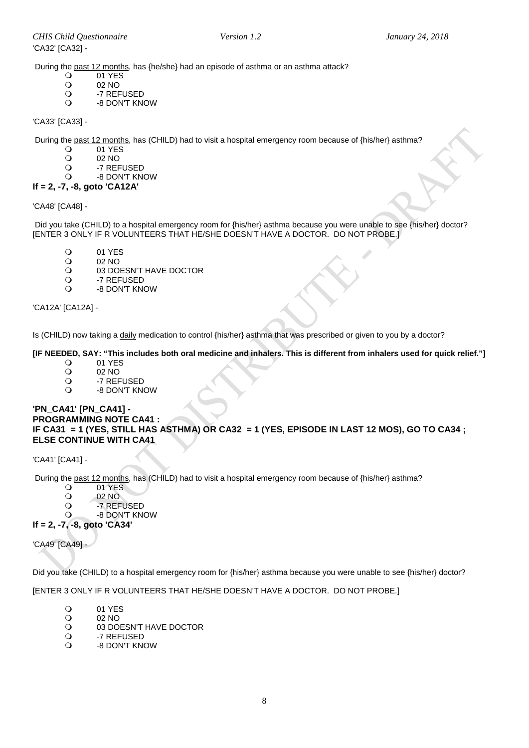During the <u>past 12 months</u>, has {he/she} had an episode of asthma or an asthma attack?<br>  $\bigcirc$  01 YES

- O 01 YES<br>O 02 NO
- O 02 NO<br>O -7 REF
- O -7 REFUSED<br>O -8 DON'T KN
- -8 DON'T KNOW

'CA33' [CA33] -

During the <u>past 12 months</u>, has (CHILD) had to visit a hospital emergency room because of {his/her} asthma?<br>  $Q = 01$  YFS

- O 01 YES<br>O 02 NO
- O 02 NO<br>O -7 REF
- -7 REFUSED
- -8 DON'T KNOW

### **If = 2, -7, -8, goto 'CA12A'**

### 'CA48' [CA48] -

Did you take (CHILD) to a hospital emergency room for {his/her} asthma because you were unable to see {his/her} doctor? [ENTER 3 ONLY IF R VOLUNTEERS THAT HE/SHE DOESN'T HAVE A DOCTOR. DO NOT PROBE.]

- O 01 YES<br>O 02 NO
- 02 NO
- O
03 DOESN'T HAVE DOCTOR
O
22 REFLISED
- O -7 REFUSED
- -8 DON'T KNOW

'CA12A' [CA12A] -

Is (CHILD) now taking a daily medication to control {his/her} asthma that was prescribed or given to you by a doctor?

# **[IF NEEDED, SAY: "This includes both oral medicine and inhalers. This is different from inhalers used for quick relief."]**

- O 01 YES<br>O 02 NO
- O 02 NO<br>O -7 REF
- O -7 REFUSED<br>O -8 DON'T KN
- -8 DON'T KNOW

### **'PN\_CA41' [PN\_CA41] - PROGRAMMING NOTE CA41 : IF CA31 = 1 (YES, STILL HAS ASTHMA) OR CA32 = 1 (YES, EPISODE IN LAST 12 MOS), GO TO CA34 ; ELSE CONTINUE WITH CA41**

'CA41' [CA41] -

During the past 12 months, has (CHILD) had to visit a hospital emergency room because of {his/her} asthma?

- O 01 YES<br>O 02 NO
- O 02 NO<br>O -7 REF
	- -7 REFUSED
	- -8 DON'T KNOW
- **If = 2, -7, -8, goto 'CA34'**

'CA49' [CA49] -

Did you take (CHILD) to a hospital emergency room for {his/her} asthma because you were unable to see {his/her} doctor?

[ENTER 3 ONLY IF R VOLUNTEERS THAT HE/SHE DOESN'T HAVE A DOCTOR. DO NOT PROBE.]

- O 01 YES<br>O 02 NO
- O 02 NO<br>O 03 DO
- O 03 DOESN'T HAVE DOCTOR<br>O 3 -7 REFUSED
- O -7 REFUSED<br>O -8 DON'T KN
- -8 DON'T KNOW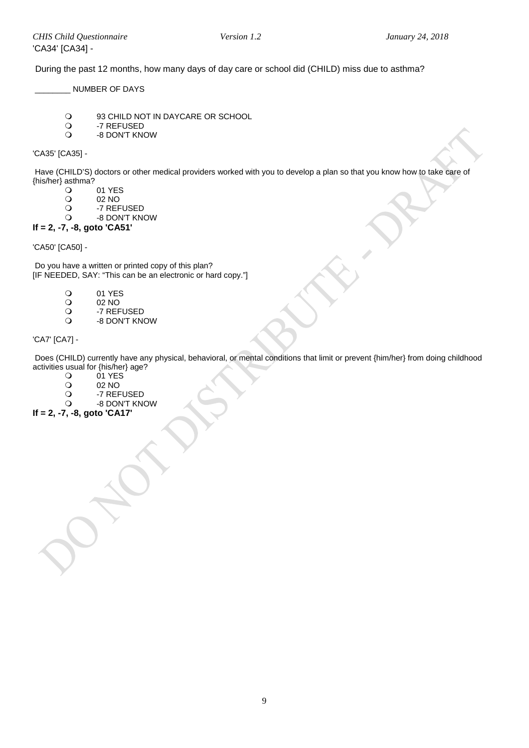During the past 12 months, how many days of day care or school did (CHILD) miss due to asthma?

\_\_\_\_\_\_\_\_ NUMBER OF DAYS

- O 93 CHILD NOT IN DAYCARE OR SCHOOL<br>O 3 -7 REFUSED
- O -7 REFUSED<br>O -8 DON'T KN -8 DON'T KNOW

'CA35' [CA35] -

Have (CHILD'S) doctors or other medical providers worked with you to develop a plan so that you know how to take care of {his/her} asthma?

- O 01 YES<br>O 02 NO
- O 02 NO<br>O -7 REF
- O -7 REFUSED<br>O -8 DON'T KN
- -8 DON'T KNOW

### **If = 2, -7, -8, goto 'CA51'**

'CA50' [CA50] -

Do you have a written or printed copy of this plan? [IF NEEDED, SAY: "This can be an electronic or hard copy."]

- 01 YES<br>02 NO
- O 02 NO<br>O -7 REF
- O -7 REFUSED<br>O -8 DON'T KN
- <span id="page-8-0"></span>-8 DON'T KNOW

'CA7' [CA7] -

Does (CHILD) currently have any physical, behavioral, or mental conditions that limit or prevent {him/her} from doing childhood activities usual for {his/her} age?<br>  $Q = 01$  YES

- O 01 YES<br>O 02 NO
- O 02 NO<br>O -7 REF
- O -7 REFUSED<br>O -8 DON'T KN
- -8 DON'T KNOW

**If = 2, -7, -8, goto 'CA17'**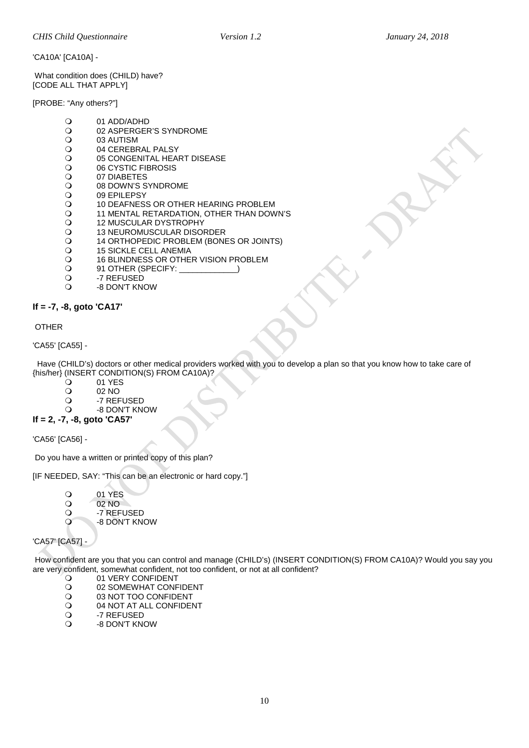'CA10A' [CA10A] -

What condition does (CHILD) have? [CODE ALL THAT APPLY]

[PROBE: "Any others?"]

- O 01 ADD/ADHD<br>O 02 ASPERGER
- O 02 ASPERGER'S SYNDROME<br>O 03 AUTISM
- O 03 AUTISM<br>O 04 CEREBR
- O 04 CEREBRAL PALSY<br>O 05 CONGENITAL HEA
- O 05 CONGENITAL HEART DISEASE<br>O 06 CYSTIC FIBROSIS
- O 06 CYSTIC FIBROSIS<br>O 07 DIABETES
- O 07 DIABETES<br>O 08 DOWN'S S
- O 08 DOWN'S SYNDROME<br>
O 09 EPILEPSY
- O 09 EPILEPSY<br>O 10 DEAFNES
- 0 10 DEAFNESS OR OTHER HEARING PROBLEM<br>0 11 MENTAL RETARDATION, OTHER THAN DOW
- O 11 MENTAL RETARDATION, OTHER THAN DOWN'S<br>O 12 MUSCULAR DYSTROPHY
- O 12 MUSCULAR DYSTROPHY<br>
O 13 NEUROMUSCULAR DISO
- O 13 NEUROMUSCULAR DISORDER<br>
0 14 ORTHOPEDIC PROBLEM (BONI
- O 14 ORTHOPEDIC PROBLEM (BONES OR JOINTS)<br>O 15 SICKLE CELL ANEMIA
- O
15 SICKLE CELL ANEMIA
O
16 BLINDNESS OR OTHE
- O 16 BLINDNESS OR OTHER VISION PROBLEM<br>
O 91 OTHER (SPECIFY: )
- Q 91 OTHER (SPECIFY: \_<br>Q -7 REFUSED
- O -7 REFUSED<br>O -8 DON'T KN
- -8 DON'T KNOW

**If = -7, -8, goto 'CA17'**

OTHER

'CA55' [CA55] -

 Have (CHILD's) doctors or other medical providers worked with you to develop a plan so that you know how to take care of {his/her} (INSERT CONDITION(S) FROM CA10A)?

- O 01 YES<br>O 02 NO
- 02 NO
- -7 REFUSED
- -8 DON'T KNOW **If = 2, -7, -8, goto 'CA57'**

'CA56' [CA56] -

Do you have a written or printed copy of this plan?

[IF NEEDED, SAY: "This can be an electronic or hard copy."]

- O 01 YES O 02 NO<br>O -7 REF
- O -7 REFUSED
- -8 DON'T KNOW

### 'CA57' [CA57]

How confident are you that you can control and manage (CHILD's) (INSERT CONDITION(S) FROM CA10A)? Would you say you are very confident, somewhat confident, not too confident, or not at all confident?

- O 01 VERY CONFIDENT<br>
O 02 SOMEWHAT CONF
- O
02 SOMEWHAT CONFIDENT
O
03 NOT TOO CONFIDENT
- O
03 NOT TOO CONFIDENT
O
04 NOT AT ALL CONFIDEN
- O 04 NOT AT ALL CONFIDENT<br>O 3 -7 REFUSED
- -7 REFUSED
- -8 DON'T KNOW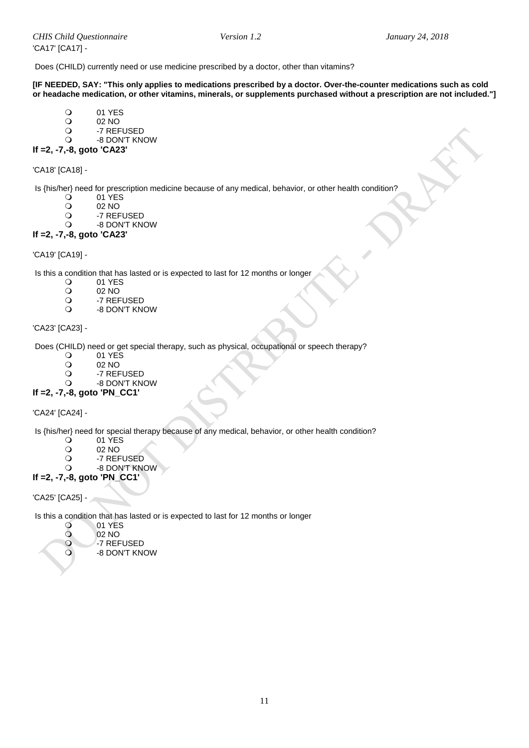Does (CHILD) currently need or use medicine prescribed by a doctor, other than vitamins?

**[IF NEEDED, SAY: "This only applies to medications prescribed by a doctor. Over-the-counter medications such as cold or headache medication, or other vitamins, minerals, or supplements purchased without a prescription are not included."]**

- 01 YES<br>02 NO
- O 02 NO<br>O -7 REF
- O -7 REFUSED<br>O -8 DON'T KN
- -8 DON'T KNOW

### **If =2, -7,-8, goto 'CA23'**

'CA18' [CA18] -

Is  $\{\text{his/her}\}$  need for prescription medicine because of any medical, behavior, or other health condition?<br>  $\bigcirc$  01 YES

- 0 01 YES<br>02 NO
- O 02 NO<br>O -7 REF
- O -7 REFUSED<br>O -8 DON'T KN
- -8 DON'T KNOW

### **If =2, -7,-8, goto 'CA23'**

'CA19' [CA19] -

Is this a condition that has lasted or is expected to last for 12 months or longer  $\overline{O}$  01 YES

- O 01 YES<br>O 02 NO
- O 02 NO<br>O -7 REF
- O -7 REFUSED<br>O -8 DON'T KN
- -8 DON'T KNOW

### 'CA23' [CA23] -

Does (CHILD) need or get special therapy, such as physical, occupational or speech therapy?<br>
O 01 YES

- O 01 YES<br>O 02 NO
- O 02 NO<br>O -7 REF
- O -7 REFUSED<br>O -8 DON'T KN
- -8 DON'T KNOW

### **If =2, -7,-8, goto 'PN\_CC1'**

'CA24' [CA24] -

Is  $\{\text{his/her}\}$  need for special therapy because of any medical, behavior, or other health condition?<br>  $\bigcirc$  01 YES

- O 01 YES<br>O 02 NO
- O 02 NO<br>O -7 REF
- -7 REFUSED
- -8 DON'T KNOW
- **If =2, -7,-8, goto 'PN\_CC1'**

'CA25' [CA25] -

 $\circ$ 0<br>0

Is this a condition that has lasted or is expected to last for 12 months or longer

| O        | 01 YES           |
|----------|------------------|
| $\Omega$ | 02 <sub>NO</sub> |
| $\circ$  | -7 REFUSED       |
| O        | -8 DON'T KNOW    |
|          |                  |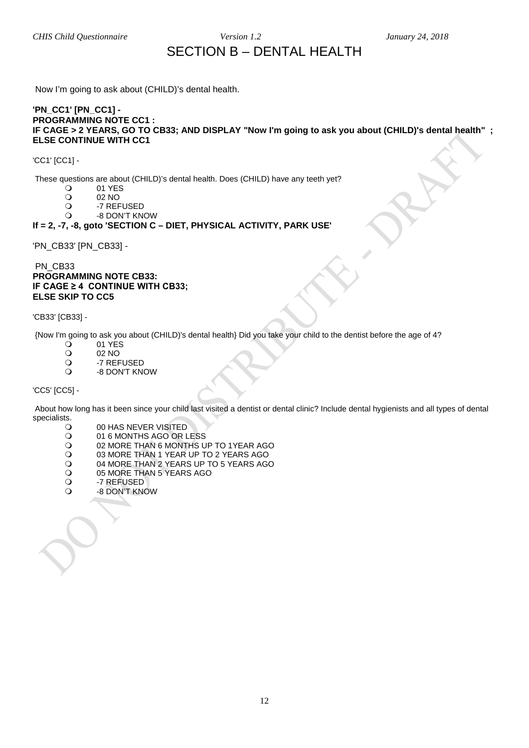### SECTION B – DENTAL HEALTH

<span id="page-11-0"></span>Now I'm going to ask about (CHILD)'s dental health.

### **'PN\_CC1' [PN\_CC1] - PROGRAMMING NOTE CC1 : IF CAGE > 2 YEARS, GO TO CB33; AND DISPLAY "Now I'm going to ask you about (CHILD)'s dental health" ; ELSE CONTINUE WITH CC1**

'CC1' [CC1] -

These questions are about (CHILD)'s dental health. Does (CHILD) have any teeth yet?<br>  $Q = 01$  YFS

- O 01 YES<br>O 02 NO
- O 02 NO<br>O -7 REF
- O -7 REFUSED<br>O -8 DON'T KN
- -8 DON'T KNOW

### **If = 2, -7, -8, goto 'SECTION C – DIET, PHYSICAL ACTIVITY, PARK USE'**

'PN\_CB33' [PN\_CB33] -

### PN\_CB33 **PROGRAMMING NOTE CB33: IF CAGE ≥ 4 CONTINUE WITH CB33; ELSE SKIP TO CC5**

'CB33' [CB33] -

{Now I'm going to ask you about (CHILD)'s dental health} Did you take your child to the dentist before the age of 4?

- 01 YES<br>02 NO
- O 02 NO<br>O -7 REF
- O -7 REFUSED<br>O -8 DON'T KN
- -8 DON'T KNOW

'CC5' [CC5] -

About how long has it been since your child last visited a dentist or dental clinic? Include dental hygienists and all types of dental specialists.<br>O

- O 00 HAS NEVER VISITED<br>O 01 6 MONTHS AGO OR L
- O 01 6 MONTHS AGO OR LESS<br>O 02 MORE THAN 6 MONTHS U
- O 02 MORE THAN 6 MONTHS UP TO 1YEAR AGO<br>O 03 MORE THAN 1 YEAR UP TO 2 YEARS AGO
- O 03 MORE THAN 1 YEAR UP TO 2 YEARS AGO<br>O 04 MORE THAN 2 YEARS UP TO 5 YEARS AGO
- O 04 MORE THAN 2 YEARS UP TO 5 YEARS AGO<br>O 05 MORE THAN 5 YEARS AGO
- O 05 MORE THAN 5 YEARS AGO<br>Q -7 REFUSED
- O -7 REFUSED<br>O -8 DON'T KN
- -8 DON'T KNOW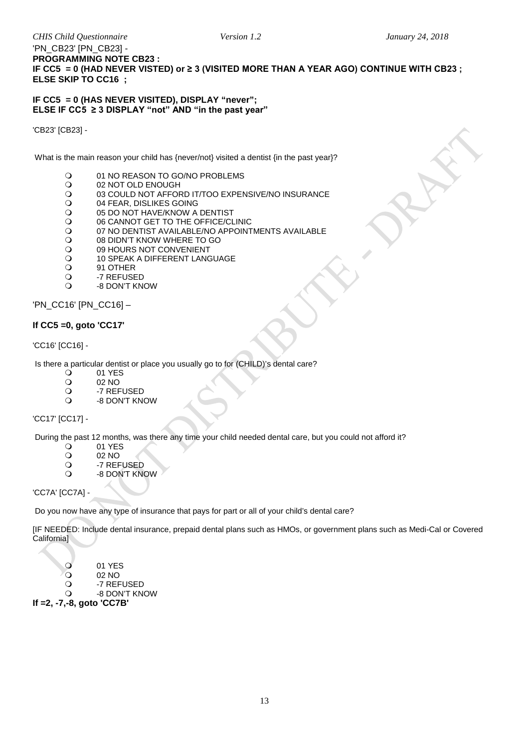### 'PN\_CB23' [PN\_CB23] - **PROGRAMMING NOTE CB23 : IF CC5 = 0 (HAD NEVER VISTED) or ≥ 3 (VISITED MORE THAN A YEAR AGO) CONTINUE WITH CB23 ; ELSE SKIP TO CC16 ;**

### **IF CC5 = 0 (HAS NEVER VISITED), DISPLAY "never"; ELSE IF CC5 ≥ 3 DISPLAY "not" AND "in the past year"**

'CB23' [CB23] -

What is the main reason your child has {never/not} visited a dentist {in the past year}?

- O 01 NO REASON TO GO/NO PROBLEMS<br>O 02 NOT OLD ENOUGH
- O 02 NOT OLD ENOUGH<br>
O 03 COULD NOT AFFOR
- O 03 COULD NOT AFFORD IT/TOO EXPENSIVE/NO INSURANCE<br>O 04 FEAR, DISLIKES GOING
- O 04 FEAR, DISLIKES GOING<br>O 05 DO NOT HAVE/KNOW A
- O 05 DO NOT HAVE/KNOW A DENTIST<br>O 06 CANNOT GET TO THE OFFICE/CL
- O

06 CANNOT GET TO THE OFFICE/CLINIC<br>
O

07 NO DENTIST AVAILABLE/NO APPOINT
- O 07 NO DENTIST AVAILABLE/NO APPOINTMENTS AVAILABLE<br>O 08 DIDN'T KNOW WHERE TO GO
- O 08 DIDN'T KNOW WHERE TO GO<br>O 09 HOURS NOT CONVENIENT
- O 09 HOURS NOT CONVENIENT<br>O 10 SPEAK A DIFFERENT LAND
- O 10 SPEAK A DIFFERENT LANGUAGE<br>O 91 OTHER
- O
91 OTHER
O
3
91 OTHER
9
9
3
2
2 **P**
- O -7 REFUSED<br>O -8 DON'T KN
- -8 DON'T KNOW

'PN\_CC16' [PN\_CC16] –

### **If CC5 =0, goto 'CC17'**

### 'CC16' [CC16] -

Is there a particular dentist or place you usually go to for (CHILD)'s dental care?<br>  $Q = 01 \text{ YFS}$ 

- O 01 YES<br>O 02 NO
- O 02 NO<br>O -7 REF
- -7 REFUSED -8 DON'T KNOW
- 

'CC17' [CC17] -

During the past 12 months, was there any time your child needed dental care, but you could not afford it?<br>
O 01 YES

- 
- O 01 YES<br>O 02 NO O 02 NO<br>O -7 REF
- O -7 REFUSED<br>Q -8 DON'T KN
- -8 DON'T KNOW

'CC7A' [CC7A] -

Do you now have any type of insurance that pays for part or all of your child's dental care?

[IF NEEDED: Include dental insurance, prepaid dental plans such as HMOs, or government plans such as Medi-Cal or Covered California]

- 01 YES
- O 02 NO<br>O -7 REF
- O -7 REFUSED<br>O -8 DON'T KN

-8 DON'T KNOW

**If =2, -7,-8, goto 'CC7B'**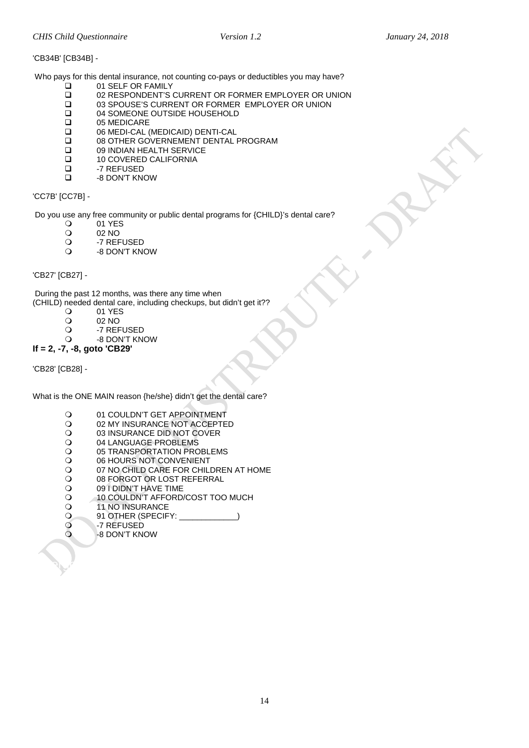### 'CB34B' [CB34B] -

Who pays for this dental insurance, not counting co-pays or deductibles you may have?

- 01 SELF OR FAMILY<br>□ 02 RESPONDENT'S
- 02 RESPONDENT'S CURRENT OR FORMER EMPLOYER OR UNION
- 03 SPOUSE'S CURRENT OR FORMER EMPLOYER OR UNION
- 04 SOMEONE OUTSIDE HOUSEHOLD
- □ 05 MEDICARE<br>□ 06 MEDI-CAL (
- 06 MEDI-CAL (MEDICAID) DENTI-CAL
- □ 08 OTHER GOVERNEMENT DENTAL PROGRAM<br>□ 09 INDIAN HEALTH SERVICE
- □ 09 INDIAN HEALTH SERVICE<br>□ 10 COVERED CALIFORNIA
- □ 10 COVERED CALIFORNIA<br>□ 27 REFUSED
- □ -7 REFUSED<br>□ -8 DON'T KN
- -8 DON'T KNOW

### 'CC7B' [CC7B] -

Do you use any free community or public dental programs for {CHILD}'s dental care?<br>  $\bigcirc$  01 YES

- O 01 YES<br>O 02 NO
- O 02 NO<br>O -7 REF
- O -7 REFUSED<br>O -8 DON'T KN
- -8 DON'T KNOW

### <span id="page-13-0"></span>'CB27' [CB27] -

During the past 12 months, was there any time when (CHILD) needed dental care, including checkups, but didn't get it??

- O 01 YES<br>O 02 NO
- O 02 NO<br>O -7 REF
- O -7 REFUSED<br>O -8 DON'T KN
- -8 DON'T KNOW
- **If = 2, -7, -8, goto 'CB29'**

'CB28' [CB28] -

What is the ONE MAIN reason {he/she} didn't get the dental care?

- O

01 COULDN'T GET APPOINTMENT
O

2 MY INSURANCE NOT ACCEPTE
- O 02 MY INSURANCE NOT ACCEPTED<br>O 03 INSURANCE DID NOT COVER
- O 03 INSURANCE DID NOT COVER<br>O 04 LANGUAGE PROBLEMS
- O 04 LANGUAGE PROBLEMS<br>O 05 TRANSPORTATION PRO
- O 05 TRANSPORTATION PROBLEMS<br>O 06 HOURS NOT CONVENIENT
- O 06 HOURS NOT CONVENIENT<br>O 07 NO CHILD CARE FOR CHIL
- O O7 NO CHILD CARE FOR CHILDREN AT HOME<br>O 08 FORGOT OR LOST REFERRAL
- O 08 FORGOT OR LOST REFERRAL<br>O 09 I DIDN'T HAVE TIME
- 
- O 091 DIDN'T HAVE TIME<br>O 10 COULDN'T AFFORD. 0 10 COULDN'T AFFORD/COST TOO MUCH
- O 11 NO INSURANCE<br>
O 91 OTHER (SPECIF
- 91 OTHER (SPECIFY:

<span id="page-13-1"></span>Emergency Room/Urgent Care (Dental)

- O -7 REFUSED<br>O -8 DON'T KN
	- -8 DON'T KNOW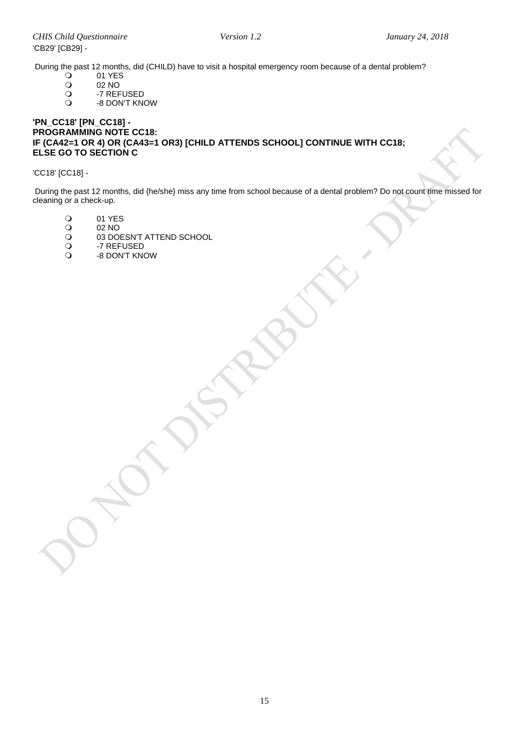During the past 12 months, did (CHILD) have to visit a hospital emergency room because of a dental problem?<br>  $\bigcirc$  01 YES

- O 01 YES
- O 02 NO<br>O -7 REF
- O -7 REFUSED<br>O -8 DON'T KN
- -8 DON'T KNOW

### **'PN\_CC18' [PN\_CC18] - PROGRAMMING NOTE CC18: IF (CA42=1 OR 4) OR (CA43=1 OR3) [CHILD ATTENDS SCHOOL] CONTINUE WITH CC18; ELSE GO TO SECTION C**

### 'CC18' [CC18] -

During the past 12 months, did {he/she} miss any time from school because of a dental problem? Do not count time missed for cleaning or a check-up.

- 01 YES<br>02 NO
- 02 NO<br>
02 NO
- O 03 DOESN'T ATTEND SCHOOL<br>O -7 REFUSED
- O -7 REFUSED<br>O -8 DON'T KN -8 DON'T KNOW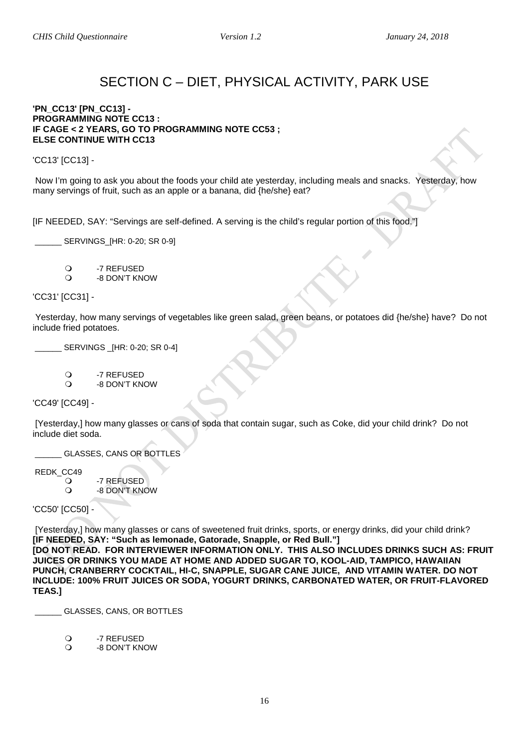### SECTION C – DIET, PHYSICAL ACTIVITY, PARK USE

### <span id="page-15-1"></span><span id="page-15-0"></span>**'PN\_CC13' [PN\_CC13] - PROGRAMMING NOTE CC13 : IF CAGE < 2 YEARS, GO TO PROGRAMMING NOTE CC53 ; ELSE CONTINUE WITH CC13**

'CC13' [CC13] -

Now I'm going to ask you about the foods your child ate yesterday, including meals and snacks. Yesterday, how many servings of fruit, such as an apple or a banana, did {he/she} eat?

[IF NEEDED, SAY: "Servings are self-defined. A serving is the child's regular portion of this food."]

SERVINGS IHR: 0-20: SR 0-91

O -7 REFUSED -8 DON'T KNOW

'CC31' [CC31] -

Yesterday, how many servings of vegetables like green salad, green beans, or potatoes did {he/she} have? Do not include fried potatoes.

\_\_\_\_\_\_ SERVINGS \_[HR: 0-20; SR 0-4]

O -7 REFUSED<br>O -8 DON'T KN

-8 DON'T KNOW

'CC49' [CC49] -

[Yesterday,] how many glasses or cans of soda that contain sugar, such as Coke, did your child drink? Do not include diet soda.

GLASSES, CANS OR BOTTLES

REDK\_CC49

O -7 REFUSED<br>O -8 DON'T KN -8 DON'T KNOW

'CC50' [CC50] -

[Yesterday,] how many glasses or cans of sweetened fruit drinks, sports, or energy drinks, did your child drink? **[IF NEEDED, SAY: "Such as lemonade, Gatorade, Snapple, or Red Bull."]**

**[DO NOT READ. FOR INTERVIEWER INFORMATION ONLY. THIS ALSO INCLUDES DRINKS SUCH AS: FRUIT JUICES OR DRINKS YOU MADE AT HOME AND ADDED SUGAR TO, KOOL-AID, TAMPICO, HAWAIIAN PUNCH, CRANBERRY COCKTAIL, HI-C, SNAPPLE, SUGAR CANE JUICE, AND VITAMIN WATER. DO NOT INCLUDE: 100% FRUIT JUICES OR SODA, YOGURT DRINKS, CARBONATED WATER, OR FRUIT-FLAVORED TEAS.]**

\_\_\_\_\_\_ GLASSES, CANS, OR BOTTLES

O -7 REFUSED

-8 DON'T KNOW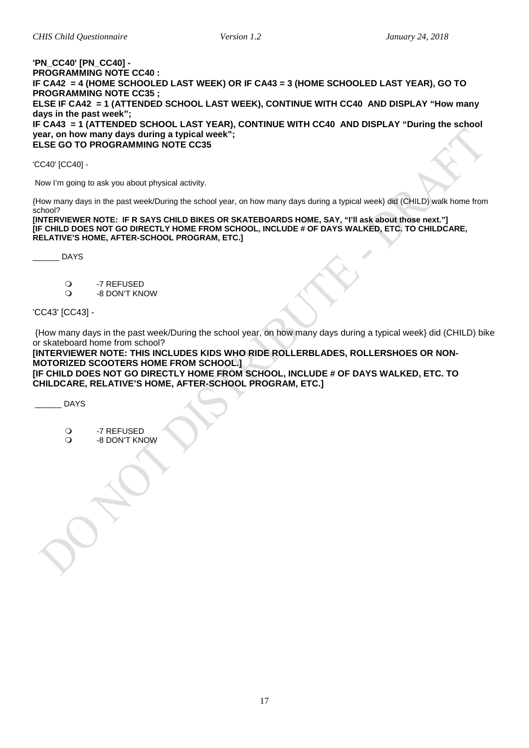#### <span id="page-16-0"></span>**'PN\_CC40' [PN\_CC40] - PROGRAMMING NOTE CC40 : IF CA42 = 4 (HOME SCHOOLED LAST WEEK) OR IF CA43 = 3 (HOME SCHOOLED LAST YEAR), GO TO PROGRAMMING NOTE CC35 ; ELSE IF CA42 = 1 (ATTENDED SCHOOL LAST WEEK), CONTINUE WITH CC40 AND DISPLAY "How many days in the past week"; IF CA43 = 1 (ATTENDED SCHOOL LAST YEAR), CONTINUE WITH CC40 AND DISPLAY "During the school year, on how many days during a typical week"; ELSE GO TO PROGRAMMING NOTE CC35**

'CC40' [CC40] -

Now I'm going to ask you about physical activity.

{How many days in the past week/During the school year, on how many days during a typical week} did (CHILD) walk home from school?

**[INTERVIEWER NOTE: IF R SAYS CHILD BIKES OR SKATEBOARDS HOME, SAY, "I'll ask about those next."] [IF CHILD DOES NOT GO DIRECTLY HOME FROM SCHOOL, INCLUDE # OF DAYS WALKED, ETC. TO CHILDCARE, RELATIVE'S HOME, AFTER-SCHOOL PROGRAM, ETC.]**

\_\_\_\_\_\_ DAYS

- -7 REFUSED
- -8 DON'T KNOW

'CC43' [CC43] -

{How many days in the past week/During the school year, on how many days during a typical week} did (CHILD) bike or skateboard home from school?

**[INTERVIEWER NOTE: THIS INCLUDES KIDS WHO RIDE ROLLERBLADES, ROLLERSHOES OR NON-MOTORIZED SCOOTERS HOME FROM SCHOOL.] [IF CHILD DOES NOT GO DIRECTLY HOME FROM SCHOOL, INCLUDE # OF DAYS WALKED, ETC. TO** 

**CHILDCARE, RELATIVE'S HOME, AFTER-SCHOOL PROGRAM, ETC.]**

\_\_\_\_\_\_ DAYS

O -7 REFUSED

<span id="page-16-1"></span>-8 DON'T KNOW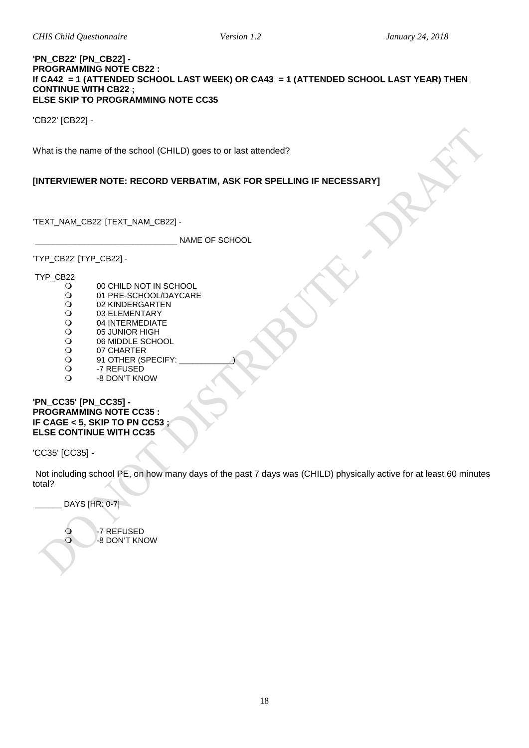#### **'PN\_CB22' [PN\_CB22] - PROGRAMMING NOTE CB22 : If CA42 = 1 (ATTENDED SCHOOL LAST WEEK) OR CA43 = 1 (ATTENDED SCHOOL LAST YEAR) THEN CONTINUE WITH CB22 ; ELSE SKIP TO PROGRAMMING NOTE CC35**

'CB22' [CB22] -

What is the name of the school (CHILD) goes to or last attended?

### **[INTERVIEWER NOTE: RECORD VERBATIM, ASK FOR SPELLING IF NECESSARY]**

'TEXT\_NAM\_CB22' [TEXT\_NAM\_CB22] -

\_\_\_\_\_\_\_\_\_\_\_\_\_\_\_\_\_\_\_\_\_\_\_\_\_\_\_\_\_\_\_\_ NAME OF SCHOOL

'TYP\_CB22' [TYP\_CB22] -

TYP\_CB22

- O 00 CHILD NOT IN SCHOOL<br>
O 01 PRE-SCHOOL/DAYCARI
- O 01 PRE-SCHOOL/DAYCARE<br>O 02 KINDERGARTEN
- O 02 KINDERGARTEN<br>O 03 ELEMENTARY
- O 03 ELEMENTARY<br>
O 04 INTERMEDIAT
- O 04 INTERMEDIATE<br>O 05 JUNIOR HIGH
- O
05 JUNIOR HIGH
O
0
6
MIDDLE SCHC
- O 06 MIDDLE SCHOOL<br>O 07 CHARTER
- O 07 CHARTER<br>O 91 OTHER (S O 91 OTHER (SPECIFY:<br>O -7 REFUSED
- O -7 REFUSED<br>Q -8 DON'T KN
- -8 DON'T KNOW

### <span id="page-17-0"></span>**'PN\_CC35' [PN\_CC35] - PROGRAMMING NOTE CC35 : IF CAGE < 5, SKIP TO PN CC53 ; ELSE CONTINUE WITH CC35**

'CC35' [CC35] -

Not including school PE, on how many days of the past 7 days was (CHILD) physically active for at least 60 minutes total?

DAYS [HR: 0-7]

O -7 REFUSED<br>O -8 DON'T KN -8 DON'T KNOW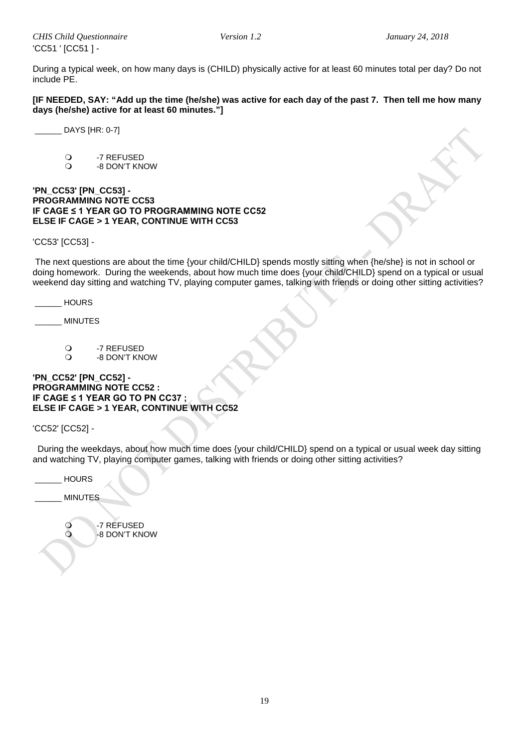During a typical week, on how many days is (CHILD) physically active for at least 60 minutes total per day? Do not include PE.

**[IF NEEDED, SAY: "Add up the time (he/she) was active for each day of the past 7. Then tell me how many days (he/she) active for at least 60 minutes."]**

\_\_\_\_\_\_ DAYS [HR: 0-7]

O -7 REFUSED<br>O -8 DON'T KN -8 DON'T KNOW

### <span id="page-18-0"></span>**'PN\_CC53' [PN\_CC53] - PROGRAMMING NOTE CC53 IF CAGE ≤ 1 YEAR GO TO PROGRAMMING NOTE CC52 ELSE IF CAGE > 1 YEAR, CONTINUE WITH CC53**

'CC53' [CC53] -

The next questions are about the time {your child/CHILD} spends mostly sitting when {he/she} is not in school or doing homework. During the weekends, about how much time does {your child/CHILD} spend on a typical or usual weekend day sitting and watching TV, playing computer games, talking with friends or doing other sitting activities?

\_\_\_\_\_\_ HOURS

\_\_\_\_\_\_ MINUTES

O -7 REFUSED<br>O -8 DON'T KN -8 DON'T KNOW

### **'PN\_CC52' [PN\_CC52] - PROGRAMMING NOTE CC52 : IF CAGE ≤ 1 YEAR GO TO PN CC37 ; ELSE IF CAGE > 1 YEAR, CONTINUE WITH CC52**

'CC52' [CC52] -

 During the weekdays, about how much time does {your child/CHILD} spend on a typical or usual week day sitting and watching TV, playing computer games, talking with friends or doing other sitting activities?

<span id="page-18-1"></span>

| <b>HOURS</b>   |                             |
|----------------|-----------------------------|
| <b>MINUTES</b> |                             |
| $\frac{1}{2}$  | -7 RÉFUSED<br>-8 DON'T KNOW |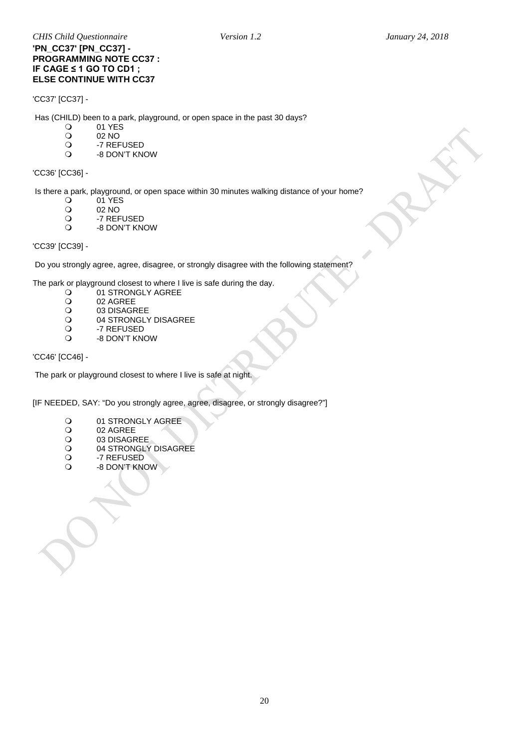### **'PN\_CC37' [PN\_CC37] - PROGRAMMING NOTE CC37 : IF CAGE ≤ 1 GO TO CD1 ; ELSE CONTINUE WITH CC37**

### 'CC37' [CC37] -

Has (CHILD) been to a park, playground, or open space in the past 30 days?

- 
- 01 YES<br>02 NO O 02 NO<br>O -7 REF
- O -7 REFUSED<br>O -8 DON'T KN
- -8 DON'T KNOW

### 'CC36' [CC36] -

Is there a park, playground, or open space within 30 minutes walking distance of your home?<br>  $Q = 01$  YES

- 01 YES
- O 02 NO<br>O -7 REF
- O -7 REFUSED<br>O -8 DON'T KN
- -8 DON'T KNOW

'CC39' [CC39] -

Do you strongly agree, agree, disagree, or strongly disagree with the following statement?

The park or playground closest to where I live is safe during the day.<br>  $Q = 01$  STRONGLY AGREE

- O 01 STRONGLY AGREE<br>O 02 AGREE
- 
- O 02 AGREE<br>O 03 DISAGF O 03 DISAGREE<br>O 04 STRONGLY
- O 04 STRONGLY DISAGREE<br>O -7 REFUSED
- O -7 REFUSED<br>Q -8 DON'T KN
	- -8 DON'T KNOW

'CC46' [CC46] -

The park or playground closest to where I live is safe at night.

[IF NEEDED, SAY: "Do you strongly agree, agree, disagree, or strongly disagree?"]

- 
- O 01 STRONGLY AGREE<br>O 02 AGREE
- O 02 AGREE<br>O 03 DISAGR O 03 DISAGREE<br>O 04 STRONGLY
- O 04 STRONGLY DISAGREE<br>O -7 REFUSED
- O -7 REFUSED<br>O -8 DON'T KN
- -8 DON'T KNOW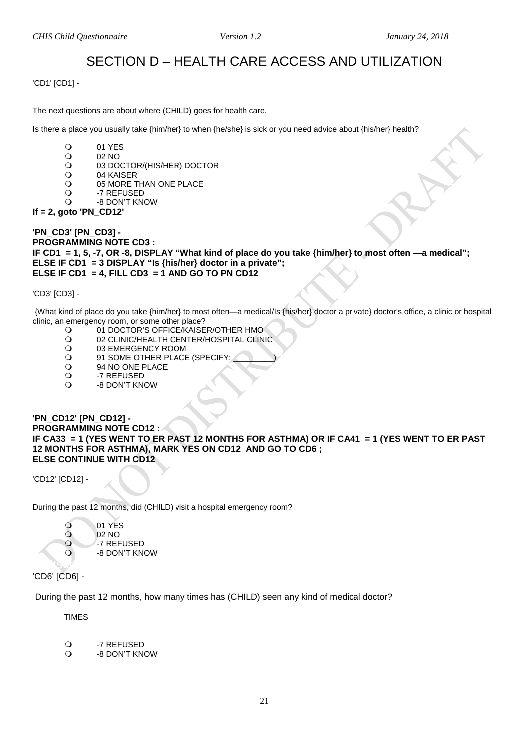### SECTION D – HEALTH CARE ACCESS AND UTILIZATION

<span id="page-20-1"></span><span id="page-20-0"></span>'CD1' [CD1] -

The next questions are about where (CHILD) goes for health care.

Is there a place you usually take {him/her} to when {he/she} is sick or you need advice about {his/her} health?

- O 01 YES<br>O 02 NO
- O 02 NO<br>O 03 DO
- O 03 DOCTOR/(HIS/HER) DOCTOR<br>O 04 KAISER
- O 04 KAISER<br>O 05 MORE T
- $\overline{O}$  05 MORE THAN ONE PLACE<br> $\overline{O}$  -7 REFUSED
- O -7 REFUSED<br>O -8 DON'T KN -8 DON'T KNOW
- **If = 2, goto 'PN\_CD12'**

**'PN\_CD3' [PN\_CD3] - PROGRAMMING NOTE CD3 : IF CD1 = 1, 5, -7, OR -8, DISPLAY "What kind of place do you take {him/her} to most often —a medical"; ELSE IF CD1 = 3 DISPLAY "Is {his/her} doctor in a private"; ELSE IF CD1 = 4, FILL CD3 = 1 AND GO TO PN CD12** 

'CD3' [CD3] -

{What kind of place do you take {him/her} to most often—a medical/Is {his/her} doctor a private} doctor's office, a clinic or hospital clinic, an emergency room, or some other place?

- O 01 DOCTOR'S OFFICE/KAISER/OTHER HMO<br>O 02 CLINIC/HEALTH CENTER/HOSPITAL CLIN
- O 02 CLINIC/HEALTH CENTER/HOSPITAL CLINIC<br>O 03 EMERGENCY ROOM
- O 03 EMERGENCY ROOM<br>
O 91 SOME OTHER PLACE
- 91 SOME OTHER PLACE (SPECIFY:<br>O 94 NO ONE PLACE
- O 94 NO ONE PLACE<br>O -7 REFUSED
- O -7 REFUSED<br>O -8 DON'T KN
- -8 DON'T KNOW

### <span id="page-20-2"></span>**'PN\_CD12' [PN\_CD12] - PROGRAMMING NOTE CD12 : IF CA33 = 1 (YES WENT TO ER PAST 12 MONTHS FOR ASTHMA) OR IF CA41 = 1 (YES WENT TO ER PAST 12 MONTHS FOR ASTHMA), MARK YES ON CD12 AND GO TO CD6 ; ELSE CONTINUE WITH CD12**

'CD12' [CD12] -

During the past 12 months, did (CHILD) visit a hospital emergency room?



<span id="page-20-3"></span>'CD6' [CD6] -

During the past 12 months, how many times has (CHILD) seen any kind of medical doctor?

TIMES

O -7 REFUSED<br>O -8 DON'T KN -8 DON'T KNOW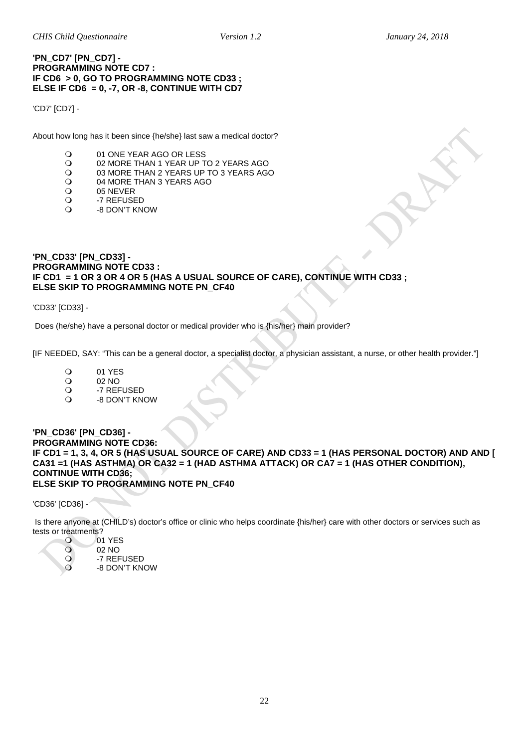### **'PN\_CD7' [PN\_CD7] - PROGRAMMING NOTE CD7 : IF CD6 > 0, GO TO PROGRAMMING NOTE CD33 ; ELSE IF CD6 = 0, -7, OR -8, CONTINUE WITH CD7**

'CD7' [CD7] -

About how long has it been since {he/she} last saw a medical doctor?

- O 01 ONE YEAR AGO OR LESS<br>O 02 MORE THAN 1 YEAR UP T
- O 02 MORE THAN 1 YEAR UP TO 2 YEARS AGO<br>O 03 MORE THAN 2 YEARS UP TO 3 YEARS AGO
- O 03 MORE THAN 2 YEARS UP TO 3 YEARS AGO<br>O 04 MORE THAN 3 YEARS AGO
- O 04 MORE THAN 3 YEARS AGO<br>O 05 NEVER
- O 05 NEVER<br>O -7 REFUSE
- O -7 REFUSED<br>O -8 DON'T KN -8 DON'T KNOW
- <span id="page-21-0"></span>**'PN\_CD33' [PN\_CD33] - PROGRAMMING NOTE CD33 : IF CD1 = 1 OR 3 OR 4 OR 5 (HAS A USUAL SOURCE OF CARE), CONTINUE WITH CD33 ; ELSE SKIP TO PROGRAMMING NOTE PN\_CF40**

'CD33' [CD33] -

Does (he/she) have a personal doctor or medical provider who is {his/her} main provider?

[IF NEEDED, SAY: "This can be a general doctor, a specialist doctor, a physician assistant, a nurse, or other health provider."]

- 01 YES<br>02 NO
- O 02 NO<br>O -7 RFF
- O -7 REFUSED<br>O -8 DON'T KN
- -8 DON'T KNOW

#### <span id="page-21-1"></span>**'PN\_CD36' [PN\_CD36] - PROGRAMMING NOTE CD36: IF CD1 = 1, 3, 4, OR 5 (HAS USUAL SOURCE OF CARE) AND CD33 = 1 (HAS PERSONAL DOCTOR) AND AND [ CA31 =1 (HAS ASTHMA) OR CA32 = 1 (HAD ASTHMA ATTACK) OR CA7 = 1 (HAS OTHER CONDITION), CONTINUE WITH CD36; ELSE SKIP TO PROGRAMMING NOTE PN\_CF40**

'CD36' [CD36] -

Is there anyone at (CHILD's) doctor's office or clinic who helps coordinate {his/her} care with other doctors or services such as tests or treatments?<br>O

01 YES<br>02 NO 02 NO<br>02 NO<br>22 REF O -7 REFUSED -8 DON'T KNOW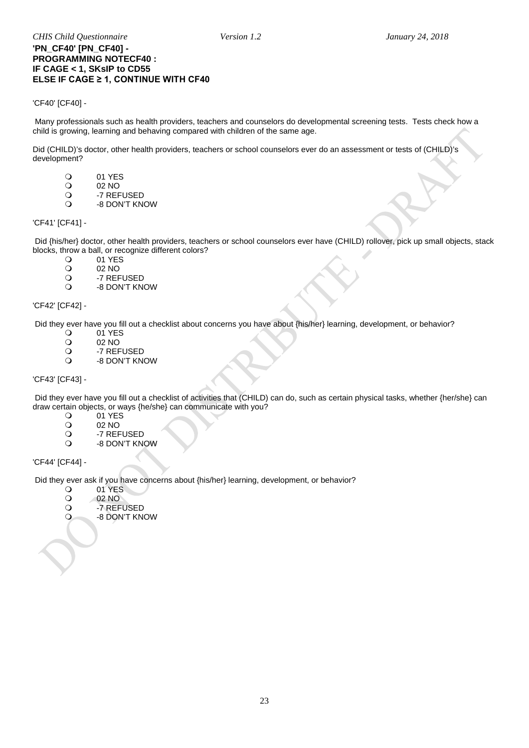### **'PN\_CF40' [PN\_CF40] - PROGRAMMING NOTECF40 : IF CAGE < 1, SKsIP to CD55 ELSE IF CAGE ≥ 1, CONTINUE WITH CF40**

### <span id="page-22-0"></span>'CF40' [CF40] -

Many professionals such as health providers, teachers and counselors do developmental screening tests. Tests check how a child is growing, learning and behaving compared with children of the same age.

Did (CHILD)'s doctor, other health providers, teachers or school counselors ever do an assessment or tests of (CHILD)'s development?

- O 01 YES<br>O 02 NO
- O 02 NO<br>O -7 REF
- O -7 REFUSED<br>O -8 DON'T KN
- -8 DON'T KNOW

### 'CF41' [CF41] -

Did {his/her} doctor, other health providers, teachers or school counselors ever have (CHILD) rollover, pick up small objects, stack blocks, throw a ball, or recognize different colors?<br>  $Q = 01$  YES

- O 01 YES
- O 02 NO<br>O -7 REF
- O -7 REFUSED<br>O -8 DON'T KN -8 DON'T KNOW
- 

'CF42' [CF42] -

Did they ever have you fill out a checklist about concerns you have about {his/her} learning, development, or behavior?<br>
O 01 YES

- O 01 YES<br>O 02 NO
- O 02 NO<br>O -7 REF
- -7 REFUSED -8 DON'T KNOW

### 'CF43' [CF43] -

Did they ever have you fill out a checklist of activities that (CHILD) can do, such as certain physical tasks, whether {her/she} can draw certain objects, or ways {he/she} can communicate with you?

- 0 01 YES<br>02 NO
- O 02 NO<br>O -7 REF
- O -7 REFUSED<br>O -8 DON'T KN -8 DON'T KNOW

### 'CF44' [CF44] -

Did they ever ask if you have concerns about {his/her} learning, development, or behavior?<br>
O 01 YES

- O 01 YES<br>O 02 NO
- 02 NO
- -7 REFUSED
- -8 DON'T KNOW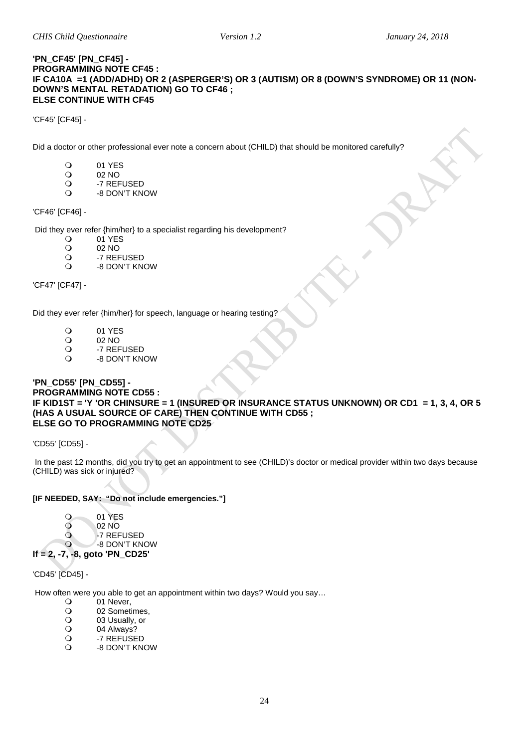#### **'PN\_CF45' [PN\_CF45] - PROGRAMMING NOTE CF45 : IF CA10A =1 (ADD/ADHD) OR 2 (ASPERGER'S) OR 3 (AUTISM) OR 8 (DOWN'S SYNDROME) OR 11 (NON-DOWN'S MENTAL RETADATION) GO TO CF46 ; ELSE CONTINUE WITH CF45**

'CF45' [CF45] -

Did a doctor or other professional ever note a concern about (CHILD) that should be monitored carefully?

- O 01 YES
- O 02 NO<br>O -7 REF
- O -7 REFUSED<br>O -8 DON'T KN
- -8 DON'T KNOW

### 'CF46' [CF46] -

Did they ever refer {him/her} to a specialist regarding his development?<br>  $Q = 01$  YES

- O 01 YES<br>O 02 NO
- O 02 NO<br>O -7 REF
- O -7 REFUSED<br>O -8 DON'T KN
- -8 DON'T KNOW

'CF47' [CF47] -

Did they ever refer {him/her} for speech, language or hearing testing?

- O 01 YES<br>O 02 NO
- O 02 NO<br>O -7 REF
- O -7 REFUSED
- -8 DON'T KNOW

#### <span id="page-23-0"></span>**'PN\_CD55' [PN\_CD55] - PROGRAMMING NOTE CD55 : IF KID1ST = 'Y 'OR CHINSURE = 1 (INSURED OR INSURANCE STATUS UNKNOWN) OR CD1 = 1, 3, 4, OR 5 (HAS A USUAL SOURCE OF CARE) THEN CONTINUE WITH CD55 ; ELSE GO TO PROGRAMMING NOTE CD25**

'CD55' [CD55] -

In the past 12 months, did you try to get an appointment to see (CHILD)'s doctor or medical provider within two days because (CHILD) was sick or injured?

### **[IF NEEDED, SAY: "Do not include emergencies."]**

0 01 YES<br>02 NO 02 NO<br>
02 NO<br>
-7 REF O -7 REFUSED -8 DON'T KNOW

**If = 2, -7, -8, goto 'PN\_CD25'**

'CD45' [CD45] -

How often were you able to get an appointment within two days? Would you say...<br>  $Q = 0.1$  Never

- O 01 Never,<br>O 02 Somet
- O 02 Sometimes,<br>
O 03 Usually, or
- O 03 Usually, or<br>
O 04 Always?
- O 04 Always?<br>O -7 REFUSE
- O -7 REFUSED
- -8 DON'T KNOW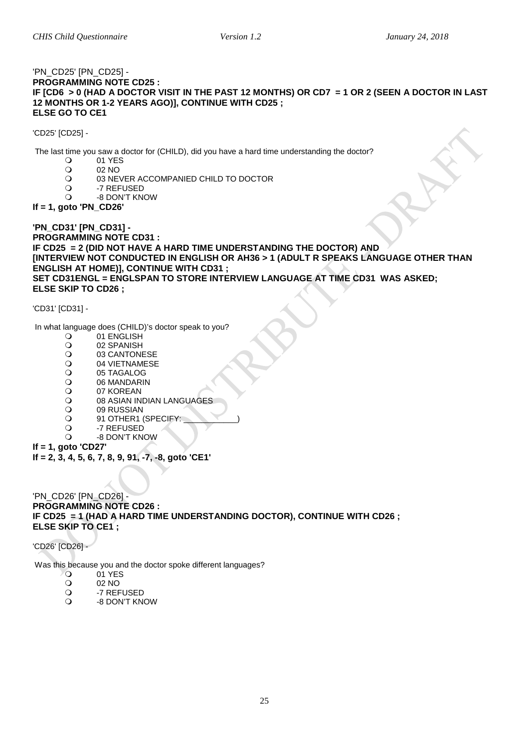### <span id="page-24-0"></span>'PN\_CD25' [PN\_CD25] - **PROGRAMMING NOTE CD25 : IF [CD6 > 0 (HAD A DOCTOR VISIT IN THE PAST 12 MONTHS) OR CD7 = 1 OR 2 (SEEN A DOCTOR IN LAST 12 MONTHS OR 1-2 YEARS AGO)], CONTINUE WITH CD25 ; ELSE GO TO CE1**

'CD25' [CD25] -

The last time you saw a doctor for (CHILD), did you have a hard time understanding the doctor?<br>  $\bigcirc$  01 YES

- 01 YES<br>02 NO
- O 02 NO<br>O 03 NEV
- O 03 NEVER ACCOMPANIED CHILD TO DOCTOR<br>O -7 REFUSED
- O -7 REFUSED<br>O -8 DON'T KN
- -8 DON'T KNOW

### **If = 1, goto 'PN\_CD26'**

**'PN\_CD31' [PN\_CD31] - PROGRAMMING NOTE CD31 : IF CD25 = 2 (DID NOT HAVE A HARD TIME UNDERSTANDING THE DOCTOR) AND [INTERVIEW NOT CONDUCTED IN ENGLISH OR AH36 > 1 (ADULT R SPEAKS LANGUAGE OTHER THAN ENGLISH AT HOME)], CONTINUE WITH CD31 ; SET CD31ENGL = ENGLSPAN TO STORE INTERVIEW LANGUAGE AT TIME CD31 WAS ASKED; ELSE SKIP TO CD26 ;**

'CD31' [CD31] -

In what language does (CHILD)'s doctor speak to you?

- O 01 ENGLISH<br>O 02 SPANISH
- O 02 SPANISH<br>O 03 CANTONI
- O 03 CANTONESE<br>O 04 VIETNAMESE
- O 04 VIETNAMESE<br>O 05 TAGALOG
- O 05 TAGALOG<br>O 06 MANDARII
- O 06 MANDARIN<br>O 07 KOREAN
- O 07 KOREAN<br>O 08 ASIAN IN
- O 08 ASIAN INDIAN LANGUAGES<br>O 09 RUSSIAN
- O 09 RUSSIAN<br>O 91 OTHER1
- O 91 OTHER1 (SPECIFY:<br>O -7 REFUSED
- O -7 REFUSED -8 DON'T KNOW
- **If = 1, goto 'CD27'**

**If = 2, 3, 4, 5, 6, 7, 8, 9, 91, -7, -8, goto 'CE1'**

'PN\_CD26' [PN\_CD26] - **PROGRAMMING NOTE CD26 : IF CD25 = 1 (HAD A HARD TIME UNDERSTANDING DOCTOR), CONTINUE WITH CD26 ; ELSE SKIP TO CE1 ;**

'CD26' [CD26] -

Was this because you and the doctor spoke different languages?<br>  $Q = 01$  YES

- 0 01 YES
- 
- O 02 NO<br>O -7 REF O -7 REFUSED<br>O -8 DON'T KN
- -8 DON'T KNOW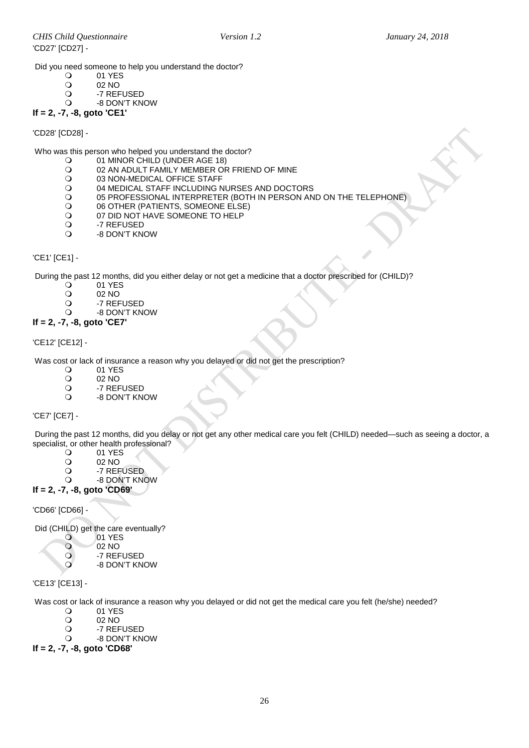Did you need someone to help you understand the doctor?<br>  $Q = 01 \text{ YFS}$ 

- O 01 YES<br>O 02 NO
- O 02 NO<br>O -7 REF
- O -7 REFUSED<br>O -8 DON'T KN
- -8 DON'T KNOW

**If = 2, -7, -8, goto 'CE1'**

'CD28' [CD28] -

Who was this person who helped you understand the doctor?

- O 01 MINOR CHILD (UNDER AGE 18)<br>O 02 AN ADULT FAMILY MEMBER OF
- O O2 AN ADULT FAMILY MEMBER OR FRIEND OF MINE<br>O 03 NON-MEDICAL OFFICE STAFF
- O 03 NON-MEDICAL OFFICE STAFF<br>O 04 MEDICAL STAFF INCLUDING N
- O 04 MEDICAL STAFF INCLUDING NURSES AND DOCTORS<br>O 05 PROFESSIONAL INTERPRETER (BOTH IN PERSON AN O 05 PROFESSIONAL INTERPRETER (BOTH IN PERSON AND ON THE TELEPHONE)<br>O 06 OTHER (PATIENTS, SOMEONE ELSE)
- O 06 OTHER (PATIENTS, SOMEONE ELSE)<br>O 07 DID NOT HAVE SOMEONE TO HELP
- O OT DID NOT HAVE SOMEONE TO HELP<br>O 3 -7 REFUSED
- O -7 REFUSED
- -8 DON'T KNOW

### <span id="page-25-0"></span>'CE1' [CE1] -

During the past 12 months, did you either delay or not get a medicine that a doctor prescribed for (CHILD)?<br>
O 01 YES

- O 01 YES<br>O 02 NO
	- 02 NO
- O -7 REFUSED
	- -8 DON'T KNOW

### **If = 2, -7, -8, goto 'CE7'**

'CE12' [CE12] -

Was cost or lack of insurance a reason why you delayed or did not get the prescription?

- 0 01 YES<br>02 NO
- O 02 NO<br>O -7 REF
- O -7 REFUSED<br>O -8 DON'T KN -8 DON'T KNOW

'CE7' [CE7] -

During the past 12 months, did you delay or not get any other medical care you felt (CHILD) needed—such as seeing a doctor, a specialist, or other health professional?<br>  $Q = 01$  YES

- O 01 YES<br>O 02 NO
- O 02 NO<br>O -7 REF
- O -7 REFUSED
- -8 DON'T KNOW

### **If = 2, -7, -8, goto 'CD69'**

'CD66' [CD66] -

Did (CHILD) get the care eventually?

- 01 YES<br>02 NO
- 02 NO<br>
0 -7 REF
	- -7 REFUSED
- -8 DON'T KNOW

'CE13' [CE13] -

Was cost or lack of insurance a reason why you delayed or did not get the medical care you felt (he/she) needed?

- O 01 YES<br>O 02 NO
- O 02 NO<br>O -7 REF
- O -7 REFUSED<br>O -8 DON'T KN
- -8 DON'T KNOW

**If = 2, -7, -8, goto 'CD68'**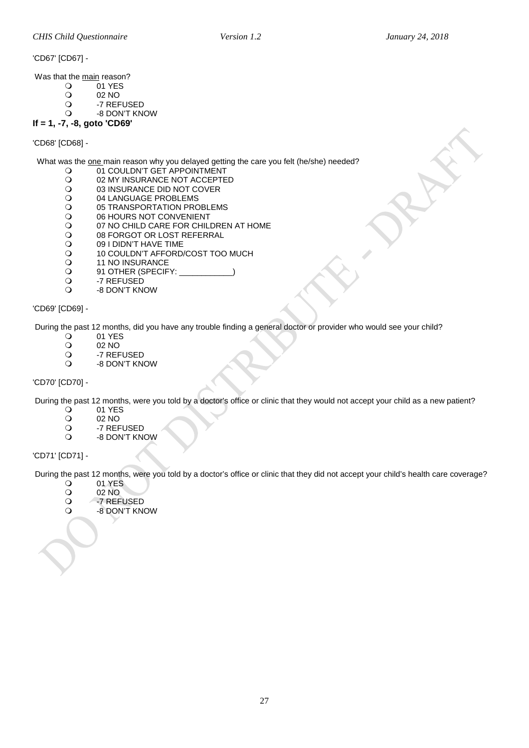'CD67' [CD67] -

Was that the main reason?

- $\overline{O}$  01 YES<br> $\overline{O}$  02 NO
- O 02 NO<br>O -7 REF
- O -7 REFUSED<br>O -8 DON'T KN
- -8 DON'T KNOW **If = 1, -7, -8, goto 'CD69'**

'CD68' [CD68] -

What was the one main reason why you delayed getting the care you felt (he/she) needed?

- O 01 COULDN'T GET APPOINTMENT<br>O 02 MY INSURANCE NOT ACCEPTE
- O 02 MY INSURANCE NOT ACCEPTED<br>O 03 INSURANCE DID NOT COVER
- O 03 INSURANCE DID NOT COVER<br>O 04 LANGUAGE PROBLEMS
- O 04 LANGUAGE PROBLEMS<br>O 05 TRANSPORTATION PRO
- O 05 TRANSPORTATION PROBLEMS<br>O 06 HOURS NOT CONVENIENT
- O 06 HOURS NOT CONVENIENT<br>O 07 NO CHILD CARE FOR CHIL
- O 07 NO CHILD CARE FOR CHILDREN AT HOME<br>O 08 FORGOT OR LOST REFERRAL
- O 08 FORGOT OR LOST REFERRAL<br>O 09 I DIDN'T HAVE TIME
- O 09 I DIDN'T HAVE TIME<br>O 10 COULDN'T AFFORD.
- O 10 COULDN'T AFFORD/COST TOO MUCH<br>O 11 NO INSURANCE
- O 11 NO INSURANCE<br>
O 91 OTHER (SPECIF
- Q 91 OTHER (SPECIFY: \_<br>Q -7 REFUSED
- O -7 REFUSED<br>O -8 DON'T KN
- -8 DON'T KNOW

'CD69' [CD69] -

During the past 12 months, did you have any trouble finding a general doctor or provider who would see your child?<br>
O 1919 TES

- 0 01 YES<br>02 NO
- O 02 NO<br>O -7 REF
- O -7 REFUSED<br>O -8 DON'T KN
- -8 DON'T KNOW

'CD70' [CD70] -

During the past 12 months, were you told by a doctor's office or clinic that they would not accept your child as a new patient?

- 0 01 YES<br>02 NO
- O 02 NO<br>O -7 REF
- O -7 REFUSED<br>Q -8 DON'T KN
- -8 DON'T KNOW

### 'CD71' [CD71] -

During the past 12 months, were you told by a doctor's office or clinic that they did not accept your child's health care coverage?<br>
O 01 YES

- O 01 YES<br>O 02 NO
- O 02 NO<br>O -7 REF
- O -7 REFUSED<br>O -8 DON'T KN -8 DON'T KNOW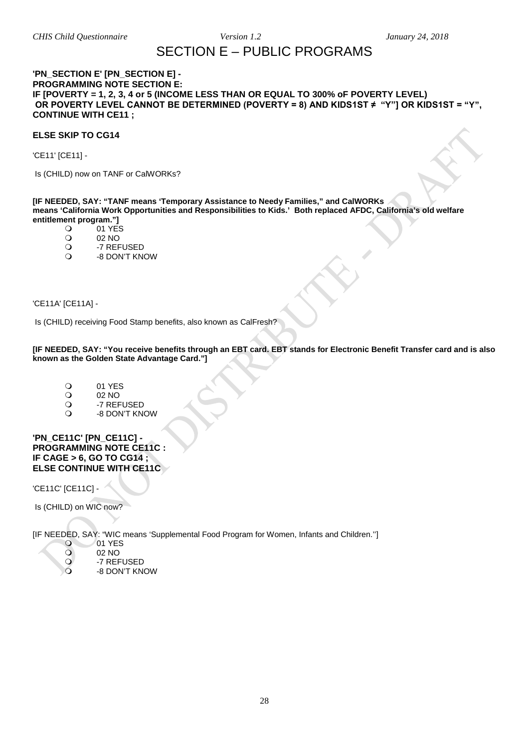### SECTION E – PUBLIC PROGRAMS

### <span id="page-27-1"></span><span id="page-27-0"></span>**'PN\_SECTION E' [PN\_SECTION E] - PROGRAMMING NOTE SECTION E: IF [POVERTY = 1, 2, 3, 4 or 5 (INCOME LESS THAN OR EQUAL TO 300% oF POVERTY LEVEL) OR POVERTY LEVEL CANNOT BE DETERMINED (POVERTY = 8) AND KIDS1ST ≠ "Y"] OR KIDS1ST = "Y", CONTINUE WITH CE11 ;**

### **ELSE SKIP TO CG14**

'CE11' [CE11] -

Is (CHILD) now on TANF or CalWORKs?

**[IF NEEDED, SAY: "TANF means 'Temporary Assistance to Needy Families," and CalWORKs means 'California Work Opportunities and Responsibilities to Kids.' Both replaced AFDC, California's old welfare entitlement program."]**<br>1 YE:

- 01 YES<br>02 NO
- O 02 NO<br>O -7 REF
- O -7 REFUSED<br>O -8 DON'T KN
- -8 DON'T KNOW

<span id="page-27-2"></span>'CE11A' [CE11A] -

Is (CHILD) receiving Food Stamp benefits, also known as CalFresh?

**[IF NEEDED, SAY: "You receive benefits through an EBT card. EBT stands for Electronic Benefit Transfer card and is also known as the Golden State Advantage Card."]**

- O 01 YES<br>O 02 NO
- O 02 NO<br>O -7 REF
- O -7 REFUSED<br>O -8 DON'T KN
- -8 DON'T KNOW

<span id="page-27-3"></span>**'PN\_CE11C' [PN\_CE11C] - PROGRAMMING NOTE CE11C : IF CAGE > 6, GO TO CG14 ; ELSE CONTINUE WITH CE11C** 

'CE11C' [CE11C] -

Is (CHILD) on WIC now?

[IF NEEDED, SAY: "WIC means 'Supplemental Food Program for Women, Infants and Children.'']

- 01 YES<br>02 NO
- 02 NO<br>Q -7 REF
- O -7 REFUSED
	- -8 DON'T KNOW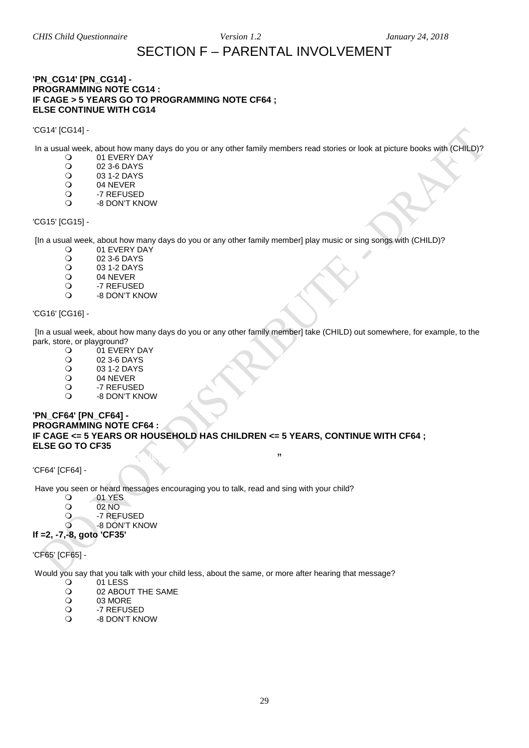## SECTION F – PARENTAL INVOLVEMENT

### <span id="page-28-0"></span>**'PN\_CG14' [PN\_CG14] - PROGRAMMING NOTE CG14 : IF CAGE > 5 YEARS GO TO PROGRAMMING NOTE CF64 ; ELSE CONTINUE WITH CG14**

'CG14' [CG14] -

In a usual week, about how many days do you or any other family members read stories or look at picture books with (CHILD)?

- O 01 EVERY DAY<br>O 02 3-6 DAYS
- O 02 3-6 DAYS<br>O 03 1-2 DAYS
- O 03 1-2 DAYS<br>O 04 NEVER
- O 04 NEVER<br>O -7 REFUSE
- O -7 REFUSED
- -8 DON'T KNOW

### 'CG15' [CG15] -

[In a usual week, about how many days do you or any other family member] play music or sing songs with (CHILD)?

- O 01 EVERY DAY<br>O 02 3-6 DAYS
- O 02 3-6 DAYS<br>O 03 1-2 DAYS
- O 03 1-2 DAYS<br>O 04 NEVER
- O 04 NEVER<br>O -7 REFUSE
- O -7 REFUSED<br>O -8 DON'T KN -8 DON'T KNOW

### 'CG16' [CG16] -

[In a usual week, about how many days do you or any other family member] take (CHILD) out somewhere, for example, to the park, store, or playground?

- O 01 EVERY DAY<br>O 02 3-6 DAYS
- O 02 3-6 DAYS<br>O 03 1-2 DAYS
- O 03 1-2 DAYS<br>O 04 NEVER
- O 04 NEVER<br>O -7 REFUSE
- O -7 REFUSED<br>O -8 DON'T KN
- -8 DON'T KNOW

### **'PN\_CF64' [PN\_CF64] - PROGRAMMING NOTE CF64 : IF CAGE <= 5 YEARS OR HOUSEHOLD HAS CHILDREN <= 5 YEARS, CONTINUE WITH CF64 ; ELSE GO TO CF35**

<span id="page-28-1"></span> $\mathcal{F}_{\mathcal{F}}$  and  $\mathcal{F}_{\mathcal{F}}$  and  $\mathcal{F}_{\mathcal{F}}$  and  $\mathcal{F}_{\mathcal{F}}$  and  $\mathcal{F}_{\mathcal{F}}$  and  $\mathcal{F}_{\mathcal{F}}$  and  $\mathcal{F}_{\mathcal{F}}$  and  $\mathcal{F}_{\mathcal{F}}$  and  $\mathcal{F}_{\mathcal{F}}$  and  $\mathcal{F}_{\mathcal{F}}$  and  $\mathcal{F}_{\mathcal{F}}$  and  $\mathcal{F}_{\mathcal{F$ 'CF64' [CF64] -

Have you seen or heard messages encouraging you to talk, read and sing with your child?

- O 01 YES
- O 02 NO<br>O -7 REF
- -7 REFUSED
- -8 DON'T KNOW
- **If =2, -7,-8, goto 'CF35'**

'CF65' [CF65] -

Would you say that you talk with your child less, about the same, or more after hearing that message?

- O 01 LESS<br>O 02 ABOL
- O 02 ABOUT THE SAME<br>
O 03 MORE
- O 03 MORE<br>O -7 REFUS
- O -7 REFUSED<br>O -8 DON'T KN
- -8 DON'T KNOW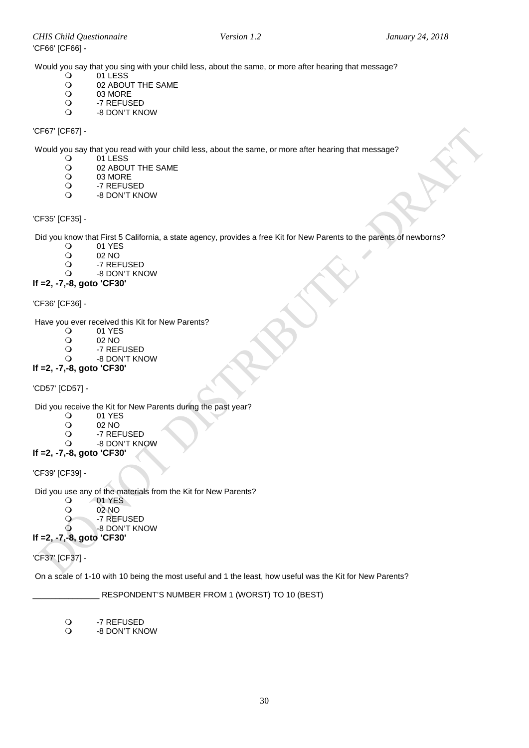Would you say that you sing with your child less, about the same, or more after hearing that message?

- O 01 LESS<br>O 02 ABOL
- O 02 ABOUT THE SAME<br>O 03 MORE
- O 03 MORE<br>O -7 REFUS
- O -7 REFUSED<br>O -8 DON'T KN
- -8 DON'T KNOW

### 'CF67' [CF67] -

Would you say that you read with your child less, about the same, or more after hearing that message?<br>  $\bigcirc$  011 FSS

- O 01 LESS<br>O 02 ABOL
- O 02 ABOUT THE SAME<br>
O 03 MORE
- 03 MORE
- O -7 REFUSED<br>O -8 DON'T KN -8 DON'T KNOW

### <span id="page-29-0"></span>'CF35' [CF35] -

Did you know that First 5 California, a state agency, provides a free Kit for New Parents to the parents of newborns?<br>
O 01 YES

- O 01 YES<br>O 02 NO
- O 02 NO<br>O -7 REF
- O -7 REFUSED<br>O -8 DON'T KN
- -8 DON'T KNOW **If =2, -7,-8, goto 'CF30'**

'CF36' [CF36] -

Have you ever received this Kit for New Parents?<br>
O 01 YES

- O 01 YES<br>O 02 NO
- O 02 NO<br>O -7 REF
- O -7 REFUSED<br>O -8 DON'T KN -8 DON'T KNOW
- 

### **If =2, -7,-8, goto 'CF30'**

'CD57' [CD57] -

Did you receive the Kit for New Parents during the past year?<br>
O 01 YES

- 0 01 YES<br>02 NO
- O 02 NO<br>O -7 REF
- O -7 REFUSED<br>O -8 DON'T KN
- -8 DON'T KNOW

### **If =2, -7,-8, goto 'CF30'**

'CF39' [CF39] -

Did you use any of the materials from the Kit for New Parents?<br>  $Q = 01$  YES

- 
- 01 YES<br>02 NO O 02 NO<br>O -7 REF
- O -7 REFUSED
- -8 DON'T KNOW

**If =2, -7,-8, goto 'CF30'**

'CF37' [CF37] -

On a scale of 1-10 with 10 being the most useful and 1 the least, how useful was the Kit for New Parents?

RESPONDENT'S NUMBER FROM 1 (WORST) TO 10 (BEST)

O -7 REFUSED<br>O -8 DON'T KN

-8 DON'T KNOW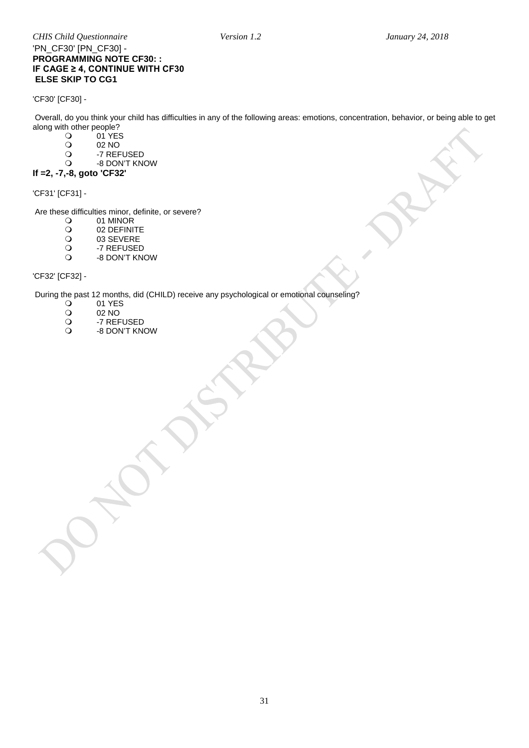### *CHIS Child Questionnaire Version 1.2 January 24, 2018* 'PN\_CF30' [PN\_CF30] - **PROGRAMMING NOTE CF30: : IF CAGE ≥ 4, CONTINUE WITH CF30 ELSE SKIP TO CG1**

'CF30' [CF30] -

Overall, do you think your child has difficulties in any of the following areas: emotions, concentration, behavior, or being able to get along with other people?

- O 01 YES
- O 02 NO<br>O -7 REF
- O -7 REFUSED<br>O -8 DON'T KN
- -8 DON'T KNOW

### **If =2, -7,-8, goto 'CF32'**

'CF31' [CF31] -

Are these difficulties minor, definite, or severe?<br>  $Q = 01$  MINOR

- O 01 MINOR<br>O 02 DEFINIT
- O 02 DEFINITE<br>O 03 SEVERE
- O 03 SEVERE<br>O -7 REFUSEI
- O -7 REFUSED<br>O -8 DON'T KN
- -8 DON'T KNOW

### 'CF32' [CF32] -

During the past 12 months, did (CHILD) receive any psychological or emotional counseling?

- 01 YES<br>02 NO
- O 02 NO<br>O -7 REF
- O -7 REFUSED<br>O -8 DON'T KN -8 DON'T KNOW
-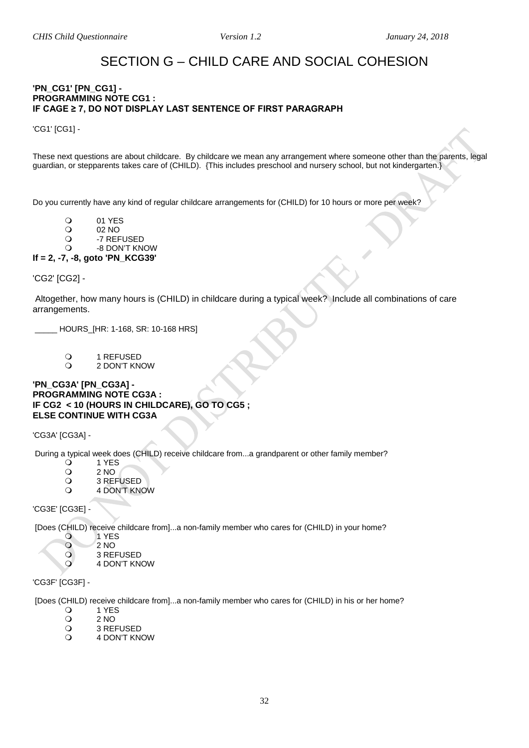### SECTION G – CHILD CARE AND SOCIAL COHESION

### <span id="page-31-1"></span><span id="page-31-0"></span>**'PN\_CG1' [PN\_CG1] - PROGRAMMING NOTE CG1 : IF CAGE ≥ 7, DO NOT DISPLAY LAST SENTENCE OF FIRST PARAGRAPH**

'CG1' [CG1] -

These next questions are about childcare. By childcare we mean any arrangement where someone other than the parents, legal guardian, or stepparents takes care of (CHILD). {This includes preschool and nursery school, but not kindergarten.}

Do you currently have any kind of regular childcare arrangements for (CHILD) for 10 hours or more per week?

- 
- O 01 YES<br>O 02 NO O 02 NO<br>O -7 REF
- O -7 REFUSED

-8 DON'T KNOW

### **If = 2, -7, -8, goto 'PN\_KCG39'**

'CG2' [CG2] -

Altogether, how many hours is (CHILD) in childcare during a typical week? Include all combinations of care arrangements.

\_\_\_\_\_ HOURS\_[HR: 1-168, SR: 10-168 HRS]

O
1 REFUSED
O
1 2 DON'T KN

2 DON'T KNOW

### **'PN\_CG3A' [PN\_CG3A] - PROGRAMMING NOTE CG3A : IF CG2 < 10 (HOURS IN CHILDCARE), GO TO CG5 ; ELSE CONTINUE WITH CG3A**

'CG3A' [CG3A] -

During a typical week does (CHILD) receive childcare from...a grandparent or other family member?<br>
<br>  $Q = 1$  YES

- 0 1 YES<br>0 2 NO
- 0 2 NO<br>
2 3 REF
- O
3 REFUSED
O
4 DON'T KN 4 DON'T KNOW

'CG3E' [CG3E] -

[Does (CHILD) receive childcare from]...a non-family member who cares for (CHILD) in your home?

- O 1 YES
- $\frac{0}{2}$   $\frac{2}{3}$  REI
- O 3 REFUSED
	- 4 DON'T KNOW

'CG3F' [CG3F] -

[Does (CHILD) receive childcare from]...a non-family member who cares for (CHILD) in his or her home?

- 0 1 YES<br>0 2 NO
- $\begin{array}{cc}\n\text{O} & 2 \text{ NO} \\
\text{O} & 3 \text{ REI}\n\end{array}$
- 3 REFUSED
- 4 DON'T KNOW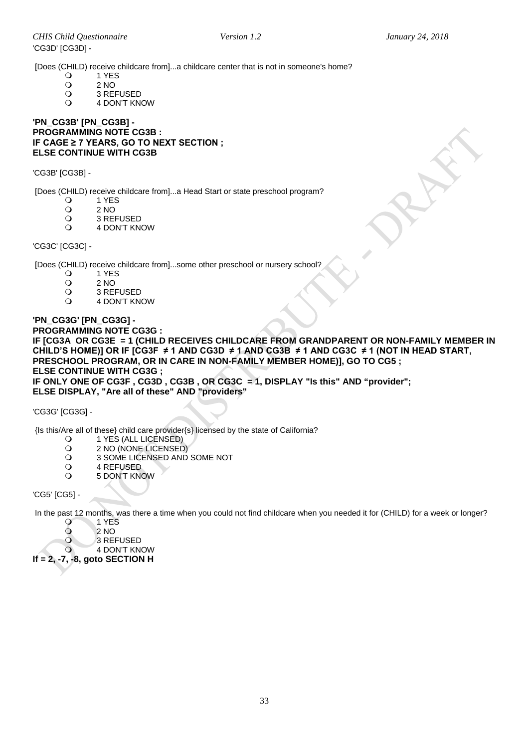[Does (CHILD) receive childcare from]...a childcare center that is not in someone's home?<br>  $Q = 1$  YES

- 0 1 YES<br>0 2 NO
	-
- 0 2 NO<br>
0 3 REI O 3 REFUSED<br>O 4 DON'T KN
- 4 DON'T KNOW

**'PN\_CG3B' [PN\_CG3B] - PROGRAMMING NOTE CG3B : IF CAGE ≥ 7 YEARS, GO TO NEXT SECTION ; ELSE CONTINUE WITH CG3B** 

'CG3B' [CG3B] -

[Does (CHILD) receive childcare from]...a Head Start or state preschool program?<br>
<br>
O 1 YFS

- 0 1 YES<br>0 2 NO
- 0 2 NO<br>
0 3 REI
- O
3 REFUSED
O
4 DON'T KN
- 4 DON'T KNOW

'CG3C' [CG3C] -

[Does (CHILD) receive childcare from]...some other preschool or nursery school?<br>
<br>  $Q = 1$  YES

- 0 1 YES<br>0 2 NO
- $\begin{array}{cc}\n\text{O} & 2 \text{ NO} \\
\text{O} & 3 \text{ REI}\n\end{array}$
- O 3 REFUSED<br>O 4 DON'T KN
- 4 DON'T KNOW

**'PN\_CG3G' [PN\_CG3G] - PROGRAMMING NOTE CG3G : IF [CG3A OR CG3E = 1 (CHILD RECEIVES CHILDCARE FROM GRANDPARENT OR NON-FAMILY MEMBER IN**  CHILD'S HOME)] OR IF [CG3F ≠ 1 AND CG3D ≠ 1 AND CG3B ≠ 1 AND CG3C ≠ 1 (NOT IN HEAD START, **PRESCHOOL PROGRAM, OR IN CARE IN NON-FAMILY MEMBER HOME)], GO TO CG5 ; ELSE CONTINUE WITH CG3G ; IF ONLY ONE OF CG3F , CG3D , CG3B , OR CG3C = 1, DISPLAY "Is this" AND "provider"; ELSE DISPLAY, "Are all of these" AND "providers"**

'CG3G' [CG3G] -

{Is this/Are all of these} child care provider{s} licensed by the state of California?

- O
1 YES (ALL LICENSED)<br>
O
2 NO (NONE LICENSED
- 2 NO (NONE LICENSED)
- O 3 SOME LICENSED AND SOME NOT<br>O 4 REFUSED
- O
4 REFUSED
O
5 DON'T KN
- 5 DON'T KNOW

'CG5' [CG5] -

In the past 12 months, was there a time when you could not find childcare when you needed it for (CHILD) for a week or longer?

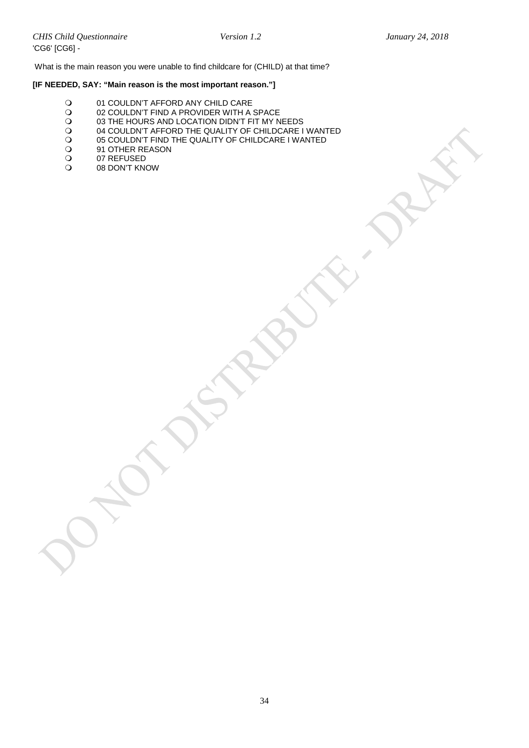What is the main reason you were unable to find childcare for (CHILD) at that time?

### **[IF NEEDED, SAY: "Main reason is the most important reason."]**

- O 01 COULDN'T AFFORD ANY CHILD CARE<br>O 02 COULDN'T FIND A PROVIDER WITH A
- O 02 COULDN'T FIND A PROVIDER WITH A SPACE<br>O 03 THE HOURS AND LOCATION DIDN'T FIT MY N
- O 03 THE HOURS AND LOCATION DIDN'T FIT MY NEEDS<br>
O 04 COULDN'T AFFORD THE QUALITY OF CHILDCARE I
- 04 COULDN'T AFFORD THE QUALITY OF CHILDCARE I WANTED<br>
05 COULDN'T FIND THE QUALITY OF CHILDCARE I WANTED<br>
091 OT REFUSED<br>
07 REFUSED
- 05 COULDN'T FIND THE QUALITY OF CHILDCARE I WANTED
- 91 OTHER REASON
- O 07 REFUSED<br>O 08 DON'T KN
- 08 DON'T KNOW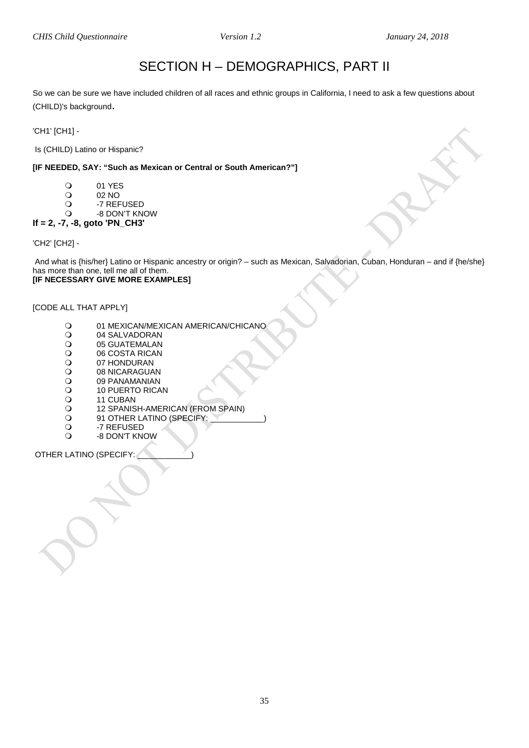## SECTION H – DEMOGRAPHICS, PART II

<span id="page-34-2"></span><span id="page-34-1"></span><span id="page-34-0"></span>So we can be sure we have included children of all races and ethnic groups in California, I need to ask a few questions about (CHILD)'s background.

'CH1' [CH1] -

Is (CHILD) Latino or Hispanic?

### **[IF NEEDED, SAY: "Such as Mexican or Central or South American?"]**

- 0 01 YES<br>02 NO
- O 02 NO<br>O -7 REF
- O -7 REFUSED<br>O -8 DON'T KN
- -8 DON'T KNOW

### **If = 2, -7, -8, goto 'PN\_CH3'**

'CH2' [CH2] -

And what is {his/her} Latino or Hispanic ancestry or origin? – such as Mexican, Salvadorian, Cuban, Honduran – and if {he/she} has more than one, tell me all of them. **[IF NECESSARY GIVE MORE EXAMPLES]** 

[CODE ALL THAT APPLY]

- O 01 MEXICAN/MEXICAN AMERICAN/CHICANO<br>O 04 SALVADORAN
- O 04 SALVADORAN<br>O 05 GUATEMALAN
- O 05 GUATEMALAN<br>O 06 COSTA RICAN
- O 06 COSTA RICAN<br>O 07 HONDURAN
- O 07 HONDURAN<br>O 08 NICARAGUA
- O 08 NICARAGUAN<br>O 09 PANAMANIAN
- O 09 PANAMANIAN<br>O 10 PUERTO RICA
- O 10 PUERTO RICAN<br>O 11 CUBAN
- O
11 CUBAN
O
12 SPANIS
- O 12 SPANISH-AMERICAN (FROM SPAIN)<br>O 91 OTHER LATINO (SPECIFY:
- O 91 OTHER LATINO (SPECIFY:<br>O 7 REFUSED
- O -7 REFUSED<br>O -8 DON'T KN
- -8 DON'T KNOW

OTHER LATINO (SPECIFY: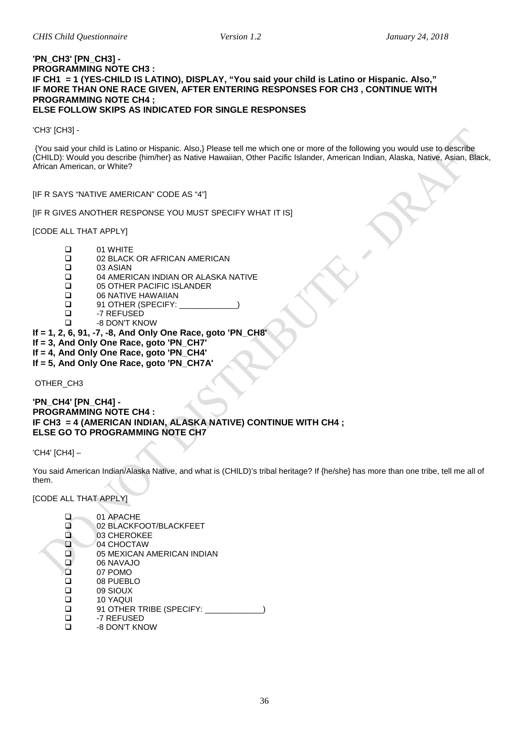#### **'PN\_CH3' [PN\_CH3] - PROGRAMMING NOTE CH3 : IF CH1 = 1 (YES-CHILD IS LATINO), DISPLAY, "You said your child is Latino or Hispanic. Also," IF MORE THAN ONE RACE GIVEN, AFTER ENTERING RESPONSES FOR CH3 , CONTINUE WITH PROGRAMMING NOTE CH4 ; ELSE FOLLOW SKIPS AS INDICATED FOR SINGLE RESPONSES**

'CH3' [CH3] -

{You said your child is Latino or Hispanic. Also,} Please tell me which one or more of the following you would use to describe (CHILD): Would you describe {him/her} as Native Hawaiian, Other Pacific Islander, American Indian, Alaska, Native, Asian, Black, African American, or White?

[IF R SAYS "NATIVE AMERICAN" CODE AS "4"]

[IF R GIVES ANOTHER RESPONSE YOU MUST SPECIFY WHAT IT IS]

[CODE ALL THAT APPLY]

- $\Box$ 01 WHITE
02 BLACK
- □ 02 BLACK OR AFRICAN AMERICAN<br>□ 03 ASIAN
	-
- $\Box$  03 ASIAN<br> $\Box$  04 AMERI □ 04 AMERICAN INDIAN OR ALASKA NATIVE<br>□ 05 OTHER PACIFIC ISLANDER
- □ 05 OTHER PACIFIC ISLANDER<br>□ 06 NATIVE HAWAIIAN
- 
- □ 06 NATIVE HAWAIIAN<br>□ 91 OTHER (SPECIFY: □ 91 OTHER (SPECIFY:<br>□ -7 REFUSED
- □ -7 REFUSED<br>□ -8 DON'T KN
	- -8 DON'T KNOW
- **If = 1, 2, 6, 91, -7, -8, And Only One Race, goto 'PN\_CH8'**
- **If = 3, And Only One Race, goto 'PN\_CH7'**
- **If = 4, And Only One Race, goto 'PN\_CH4'**
- **If = 5, And Only One Race, goto 'PN\_CH7A'**

OTHER\_CH3

**'PN\_CH4' [PN\_CH4] - PROGRAMMING NOTE CH4 : IF CH3 = 4 (AMERICAN INDIAN, ALASKA NATIVE) CONTINUE WITH CH4 ; ELSE GO TO PROGRAMMING NOTE CH7** 

'CH4' [CH4] –

You said American Indian/Alaska Native, and what is (CHILD)'s tribal heritage? If {he/she} has more than one tribe, tell me all of them.

[CODE ALL THAT APPLY]

01 APACHE<br>02 BLACKF **D** 02 BLACKFOOT/BLACKFEET<br>
03 CHEROKEE <sup>03</sup> CHEROKEE<br><sup>04</sup> CHOCTAW <sup>04</sup> CHOCTAW<br><sup>05</sup> MEXICAN  $\begin{array}{cc}\n\Box & 05 \text{ MEXICAN AMERICAN INDIAN} \\
\Box & 06 \text{ NAVAJO}\n\end{array}$  $\Box$  06 NAVAJO  $\Box$  07 POMO □ 08 PUEBLO<br>□ 09 SIOUX 09 SIOUX □ 10 YAQUI<br>□ 91 OTHER  $\Box$  91 OTHER TRIBE (SPECIFY:  $\Box$  -7 REFUSED □ -7 REFUSED -8 DON'T KNOW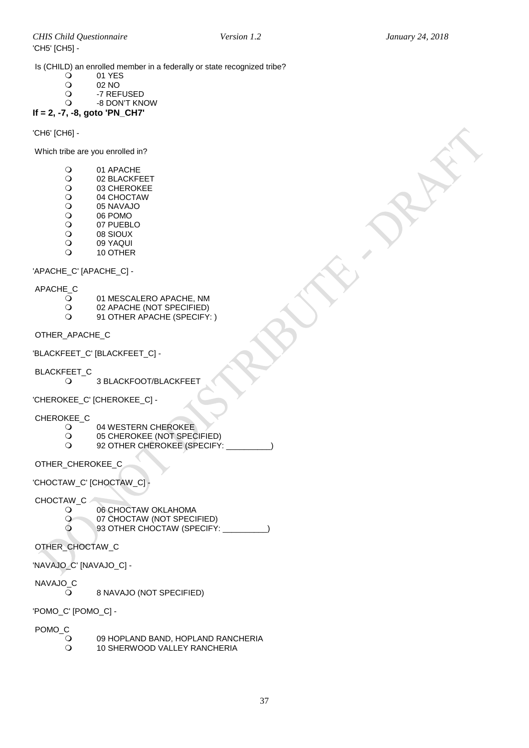Is (CHILD) an enrolled member in a federally or state recognized tribe?<br>  $Q = 01 \text{ YFS}$ 

- 01 YES<br>02 NO
- O 02 NO<br>O -7 REF
- O -7 REFUSED<br>O -8 DON'T KN
	- -8 DON'T KNOW
- **If = 2, -7, -8, goto 'PN\_CH7'**

'CH6' [CH6] -

Which tribe are you enrolled in?

- O 01 APACHE<br>O 02 BLACKFI
- O 02 BLACKFEET<br>O 03 CHEROKEE
- O 03 CHEROKEE<br>O 04 CHOCTAW
- O 04 CHOCTAW<br>O 05 NAVAJO
- O 05 NAVAJO<br>O 06 POMO
- O
06 POMO
0
0
7
PUEBL
- O 07 PUEBLO<br>O 08 SIOUX
- O 08 SIOUX<br>O 09 YAQUI
- O 09 YAQUI<br>O 10 OTHER 10 OTHER

'APACHE\_C' [APACHE\_C] -

- APACHE\_C
	- $\overline{Q}$  01 MESCALERO APACHE, NM<br> $Q$  02 APACHE (NOT SPECIFIED)
	- O 02 APACHE (NOT SPECIFIED)<br>O 91 OTHER APACHE (SPECIFY
	- 91 OTHER APACHE (SPECIFY: )

OTHER\_APACHE\_C

'BLACKFEET\_C' [BLACKFEET\_C] -

BLACKFEET\_C<br>O

3 BLACKFOOT/BLACKFEET

'CHEROKEE\_C' [CHEROKEE\_C] -

CHEROKEE\_C

- O 04 WESTERN CHEROKEE<br>O 05 CHEROKEE (NOT SPEC
- O
05 CHEROKEE (NOT SPECIFIED)<br>Q 92 OTHER CHEROKEE (SPECIEY
- 92 OTHER CHEROKEE (SPECIFY:

OTHER\_CHEROKEE\_C

'CHOCTAW\_C' [CHOCTAW\_C] -

CHOCTAW\_C

- O 06 CHOCTAW OKLAHOMA<br>O 07 CHOCTAW (NOT SPECI
- O O7 CHOCTAW (NOT SPECIFIED)<br>O 93 OTHER CHOCTAW (SPECIFY)
	- 93 OTHER CHOCTAW (SPECIFY: \_\_\_\_\_\_\_\_\_\_)

OTHER\_CHOCTAW\_C

'NAVAJO\_C' [NAVAJO\_C] -

- NAVAJO\_C
	- $\overline{Q}$  8 NAVAJO (NOT SPECIFIED)

'POMO\_C' [POMO\_C] -

POMO\_C<br>O

- O 09 HOPLAND BAND, HOPLAND RANCHERIA<br>O 10 SHERWOOD VALLEY RANCHERIA
	- 10 SHERWOOD VALLEY RANCHERIA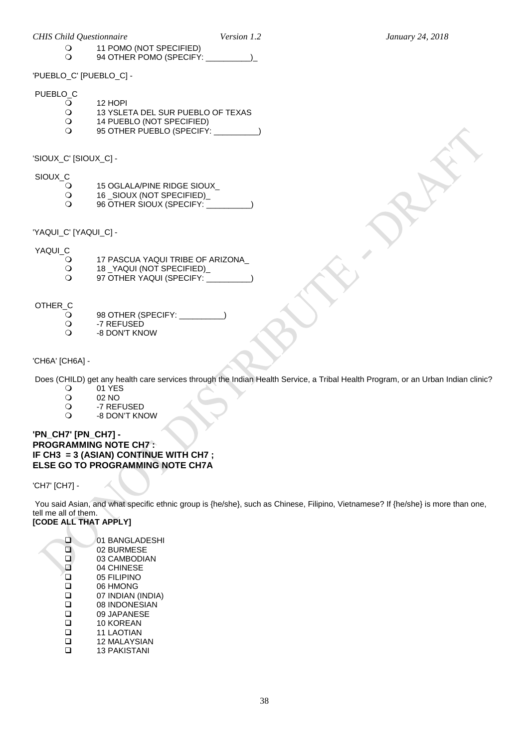'PUEBLO\_C' [PUEBLO\_C] -

## PUEBLO\_C

O 12 HOPI<br>O 13 YSLE

 $\Omega$  11 POMO (NOT SPECIFIED)<br> $\Omega$  94 OTHER POMO (SPECIEY

O 13 YSLETA DEL SUR PUEBLO OF TEXAS<br>O 14 PUEBLO (NOT SPECIFIED)

94 OTHER POMO (SPECIFY:  $\qquad \qquad$ )

- O 14 PUEBLO (NOT SPECIFIED)<br>O 95 OTHER PUEBLO (SPECIFY 95 OTHER PUEBLO (SPECIFY: \_\_\_\_\_\_\_\_\_\_)
- 'SIOUX\_C' [SIOUX\_C] -
- SIOUX\_C
	- O 15 OGLALA/PINE RIDGE SIOUX\_<br>O 16\_SIOUX (NOT SPECIFIED)\_
	- O 16 \_SIOUX (NOT SPECIFIED)\_<br>Q 96 OTHER SIOUX (SPECIFY:
	- 96 OTHER SIOUX (SPECIFY:
- 'YAQUI\_C' [YAQUI\_C] -

# YAQUI\_C<br>O

- O 17 PASCUA YAQUI TRIBE OF ARIZONA\_<br>O 18\_YAQUI (NOT SPECIFIED)\_
- O 18 \_YAQUI (NOT SPECIFIED)\_<br>O 97 OTHER YAQUI (SPECIFY:
- 97 OTHER YAQUI (SPECIFY:

# OTHER\_C<br>Q

- O 98 OTHER (SPECIFY:<br>O -7 REFUSED
- O -7 REFUSED<br>O -8 DON'T KN -8 DON'T KNOW
- 'CH6A' [CH6A] -

Does (CHILD) get any health care services through the Indian Health Service, a Tribal Health Program, or an Urban Indian clinic?<br>
O 01 YES

- O 01 YES
- O 02 NO<br>O -7 REF
- O -7 REFUSED<br>O -8 DON'T KN
- -8 DON'T KNOW

### **'PN\_CH7' [PN\_CH7] - PROGRAMMING NOTE CH7 : IF CH3 = 3 (ASIAN) CONTINUE WITH CH7 ; ELSE GO TO PROGRAMMING NOTE CH7A**

'CH7' [CH7] -

You said Asian, and what specific ethnic group is {he/she}, such as Chinese, Filipino, Vietnamese? If {he/she} is more than one, tell me all of them. **[CODE ALL THAT APPLY]**

01 BANGLADESHI<br>02 BURMESE 02 BURMESE  $\begin{array}{cc}\n\Box & 03 \text{ CAMBODIAN} \\
\Box & 04 \text{ CHINESE}\n\end{array}$ 04 CHINESE<br>
05 FILIPINO **Q** 05 FILIPINO<br>Q 06 HMONG □ 06 HMONG<br>□ 07 INDIAN ( 07 INDIAN (INDIA) □ 08 INDONESIAN<br>□ 09 JAPANESE □ 09 JAPANESE<br>□ 10 KOREAN □ 10 KOREAN<br>□ 11 LAOTIAN  $\Box$  11 LAOTIAN<br> $\Box$  12 MALAYSI  $\Box$  12 MALAYSIAN 13 PAKISTANI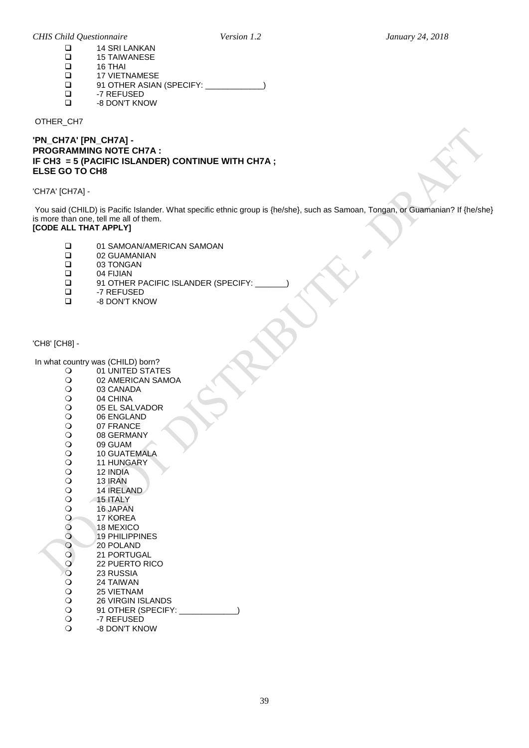|  |  | <b>CHIS Child Questionnaire</b> |  |
|--|--|---------------------------------|--|
|--|--|---------------------------------|--|

| ப   | 14 SRI LANKAN            |
|-----|--------------------------|
| ப   | <b>15 TAIWANESE</b>      |
| ப   | 16 THAI                  |
| l 1 | <b>17 VIETNAMESE</b>     |
| ப   | 91 OTHER ASIAN (SPECIFY: |
| l 1 | -7 REFUSED               |
|     | -8 DON'T KNOW            |
|     |                          |

OTHER\_CH7

**'PN\_CH7A' [PN\_CH7A] - PROGRAMMING NOTE CH7A : IF CH3 = 5 (PACIFIC ISLANDER) CONTINUE WITH CH7A ; ELSE GO TO CH8** 

'CH7A' [CH7A] -

You said (CHILD) is Pacific Islander. What specific ethnic group is {he/she}, such as Samoan, Tongan, or Guamanian? If {he/she} is more than one, tell me all of them.

### **[CODE ALL THAT APPLY]**

- □ 01 SAMOAN/AMERICAN SAMOAN<br>□ 02 GUAMANIAN
- □ 02 GUAMANIAN<br>□ 03 TONGAN
- □ 03 TONGAN<br>□ 04 FIJIAN
- $\Box$  04 FIJIAN<br> $\Box$  91 OTHER
- □ 91 OTHER PACIFIC ISLANDER (SPECIFY:<br>□ 子 REFUSED
- □ -7 REFUSED<br>□ -8 DON'T KN -8 DON'T KNOW

<span id="page-38-0"></span>'CH8' [CH8] -

### In what country was (CHILD) born?<br>O 01 UNITED STAT

- O 01 UNITED STATES<br>O 02 AMERICAN SAM O 02 AMERICAN SAMOA<br>O 03 CANADA O 03 CANADA<br>O 04 CHINA O
04 CHINA<br>O
05 EL SAL O 05 EL SALVADOR<br>O 06 ENGLAND O 06 ENGLAND<br>O 07 FRANCE O 07 FRANCE<br>O 08 GERMAN O 08 GERMANY<br>O 09 GUAM
- O 09 GUAM<br>O 10 GUATE O 10 GUATEMALA<br>O 11 HUNGARY
- O 11 HUNGARY<br>O 12 INDIA
- 0 12 INDIA<br>0 13 IRAN
- 0 13 IRAN<br>0 14 IREL
- O 14 IRELAND<br>O 15 ITALY O
15 ITALY
O
16 JAPAI
- O 16 JAPAN<br>O 17 KOREA
- O 17 KOREA<br>O 18 MEXICO
- O 18 MEXICO<br>O 19 PHILIPPI
- O 19 PHILIPPINES<br>O 20 POLAND
- O 20 POLAND
- O 21 PORTUGAL<br>O 22 PUERTO RI
- O 22 PUERTO RICO<br>O 23 RUSSIA
- O 23 RUSSIA<br>O 24 TAIWAN
- O 24 TAIWAN<br>O 25 VIETNAI
- O 25 VIETNAM<br>O 26 VIRGIN IS
- O 26 VIRGIN ISLANDS<br>
O 91 OTHER (SPECIF) 91 OTHER (SPECIFY: \_\_\_\_\_\_\_\_\_\_\_\_\_)
- O -7 REFUSED<br>O -8 DON'T KN
- -8 DON'T KNOW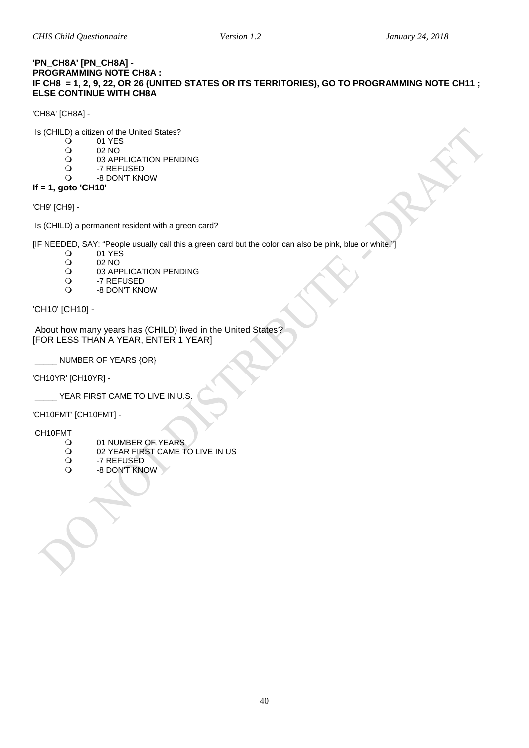### <span id="page-39-0"></span>**'PN\_CH8A' [PN\_CH8A] - PROGRAMMING NOTE CH8A : IF CH8 = 1, 2, 9, 22, OR 26 (UNITED STATES OR ITS TERRITORIES), GO TO PROGRAMMING NOTE CH11 ; ELSE CONTINUE WITH CH8A**

'CH8A' [CH8A] -

Is (CHILD) a citizen of the United States?<br>  $Q = 01$  YES

- 01 YES<br>02 NO
- O 02 NO<br>O 03 APP
- O 03 APPLICATION PENDING<br>O 7 REFUSED
- O -7 REFUSED<br>O -8 DON'T KN -8 DON'T KNOW
- **If = 1, goto 'CH10'**

'CH9' [CH9] -

Is (CHILD) a permanent resident with a green card?

[IF NEEDED, SAY: "People usually call this a green card but the color can also be pink, blue or white."]

- 0 01 YES<br>02 NO
- O 02 NO<br>O 03 APP
- O 03 APPLICATION PENDING<br>O 7 REFUSED
- O -7 REFUSED<br>Q -8 DON'T KN
- -8 DON'T KNOW

'CH10' [CH10] -

About how many years has (CHILD) lived in the United States? [FOR LESS THAN A YEAR, ENTER 1 YEAR]

NUMBER OF YEARS {OR}

'CH10YR' [CH10YR] -

\_\_\_\_\_ YEAR FIRST CAME TO LIVE IN U.S.

'CH10FMT' [CH10FMT] -

CH10FMT

- O 01 NUMBER OF YEARS<br>O 02 YEAR FIRST CAME T
- O 02 YEAR FIRST CAME TO LIVE IN US<br>O -7 REFUSED
- O -7 REFUSED<br>O -8 DON'T KN
- -8 DON'T KNOWV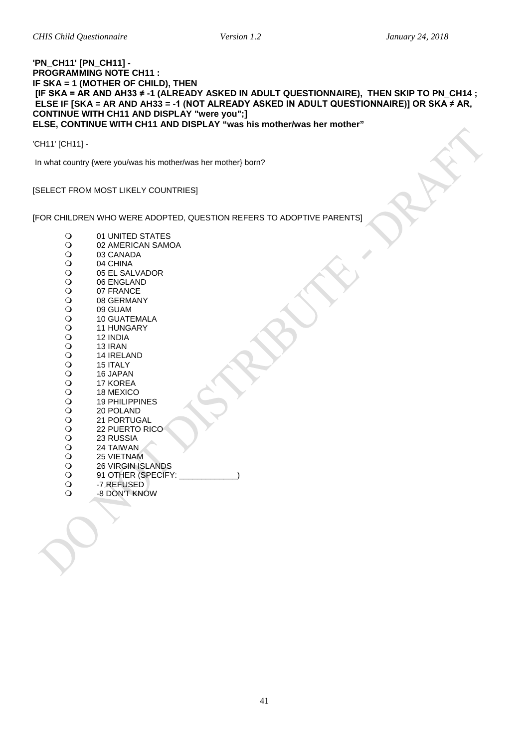### <span id="page-40-0"></span>**'PN\_CH11' [PN\_CH11] - PROGRAMMING NOTE CH11 : IF SKA = 1 (MOTHER OF CHILD), THEN [IF SKA = AR AND AH33 ≠ -1 (ALREADY ASKED IN ADULT QUESTIONNAIRE), THEN SKIP TO PN\_CH14 ; ELSE IF [SKA = AR AND AH33 = -1 (NOT ALREADY ASKED IN ADULT QUESTIONNAIRE)] OR SKA ≠ AR, CONTINUE WITH CH11 AND DISPLAY "were you";] ELSE, CONTINUE WITH CH11 AND DISPLAY "was his mother/was her mother"**

'CH11' [CH11] -

In what country {were you/was his mother/was her mother} born?

[SELECT FROM MOST LIKELY COUNTRIES]

[FOR CHILDREN WHO WERE ADOPTED, QUESTION REFERS TO ADOPTIVE PARENTS]

| $\mathsf{O}$   | 01 UNITED STATES      |
|----------------|-----------------------|
| $\circ$        | 02 AMERICAN SAMOA     |
|                | 03 CANADA             |
|                | 04 CHINA              |
|                | 05 EL SALVADOR        |
|                | 06 ENGLAND            |
|                | 07 FRANCE             |
|                | 08 GERMANY            |
|                | 09 GUAM               |
|                | <b>10 GUATEMALA</b>   |
|                | <b>11 HUNGARY</b>     |
|                | 12 INDIA              |
|                | 13 IRAN               |
|                | 14 IRELAND            |
|                | 15 ITALY              |
|                | 16 JAPAN              |
|                | 17 KOREA              |
|                | 18 MEXICO             |
|                | <b>19 PHILIPPINES</b> |
|                | 20 POLAND             |
|                | <b>21 PORTUGAL</b>    |
|                | 22 PUERTO RICO        |
|                | 23 RUSSIA             |
|                | 24 TAIWAN             |
|                | <b>25 VIETNAM</b>     |
|                | 26 VIRGIN ISLANDS     |
|                | 91 OTHER (SPECIFY:    |
| $\circ$        | -7 REFUSED            |
| $\overline{O}$ | -8 DON'T KNOW         |
|                |                       |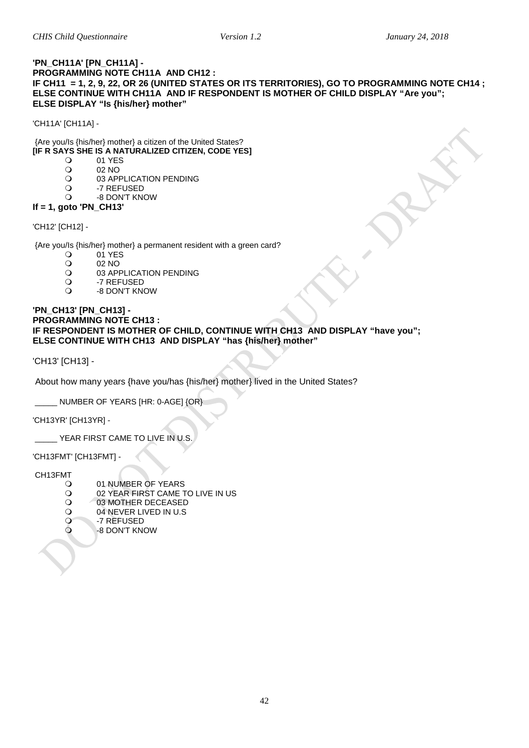### <span id="page-41-0"></span>**'PN\_CH11A' [PN\_CH11A] - PROGRAMMING NOTE CH11A AND CH12 : IF CH11 = 1, 2, 9, 22, OR 26 (UNITED STATES OR ITS TERRITORIES), GO TO PROGRAMMING NOTE CH14 ; ELSE CONTINUE WITH CH11A AND IF RESPONDENT IS MOTHER OF CHILD DISPLAY "Are you"; ELSE DISPLAY "Is {his/her} mother"**

'CH11A' [CH11A] -

### {Are you/Is {his/her} mother} a citizen of the United States?

- **IF R SAYS SHE IS A NATURALIZED CITIZEN, CODE YES]**<br>(2) 01 YES
	- 01 YES<br>02 NO
	- O 02 NO<br>O 03 APP
	- O 03 APPLICATION PENDING<br>O -7 REFUSED
	- O -7 REFUSED<br>O -8 DON'T KN
	- -8 DON'T KNOW

### **If = 1, goto 'PN\_CH13'**

### 'CH12' [CH12] -

{Are you/Is {his/her} mother} a permanent resident with a green card?<br>  $Q = 01$  YES

- O 01 YES<br>O 02 NO
- O 02 NO<br>O 03 API
- O 03 APPLICATION PENDING<br>O 7 REFUSED
- O -7 REFUSED<br>O -8 DON'T KN
- -8 DON'T KNOW

### **'PN\_CH13' [PN\_CH13] - PROGRAMMING NOTE CH13 : IF RESPONDENT IS MOTHER OF CHILD, CONTINUE WITH CH13 AND DISPLAY "have you"; ELSE CONTINUE WITH CH13 AND DISPLAY "has {his/her} mother"**

'CH13' [CH13] -

About how many years {have you/has {his/her} mother} lived in the United States?

NUMBER OF YEARS [HR: 0-AGE] {OR}

'CH13YR' [CH13YR] -

YEAR FIRST CAME TO LIVE IN U.S.

'CH13FMT' [CH13FMT] -

### CH13FMT

- O 01 NUMBER OF YEARS<br>O 02 YEAR FIRST CAME T
- O 02 YEAR FIRST CAME TO LIVE IN US<br>O 03 MOTHER DECEASED
- O 03 MOTHER DECEASED<br>O 04 NEVER LIVED IN U.S
- O 04 NEVER LIVED IN U.S<br>O -7 REFUSED
- -7 REFUSED
- -8 DON'T KNOW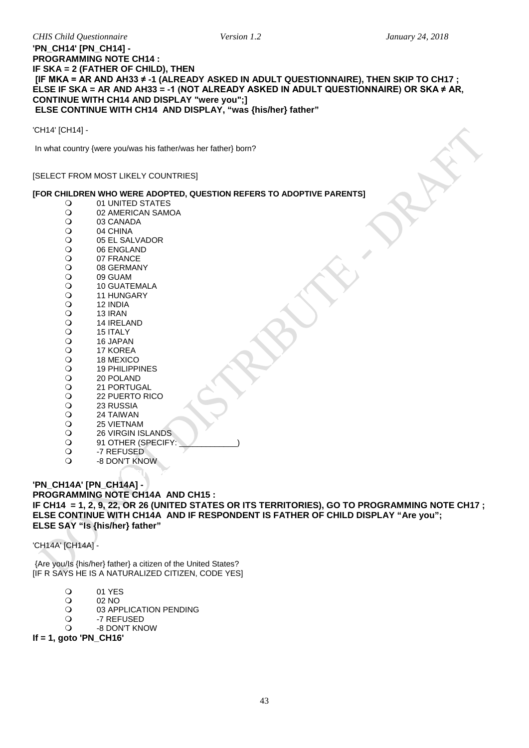### **'PN\_CH14' [PN\_CH14] - PROGRAMMING NOTE CH14 : IF SKA = 2 (FATHER OF CHILD), THEN [IF MKA = AR AND AH33 ≠ -1 (ALREADY ASKED IN ADULT QUESTIONNAIRE), THEN SKIP TO CH17 ; ELSE IF SKA = AR AND AH33 = -1 (NOT ALREADY ASKED IN ADULT QUESTIONNAIRE) OR SKA ≠ AR, CONTINUE WITH CH14 AND DISPLAY "were you";] ELSE CONTINUE WITH CH14 AND DISPLAY, "was {his/her} father"**

'CH14' [CH14] -

In what country {were you/was his father/was her father} born?

### [SELECT FROM MOST LIKELY COUNTRIES]

### **[FOR CHILDREN WHO WERE ADOPTED, QUESTION REFERS TO ADOPTIVE PARENTS]**

- O 01 UNITED STATES<br>O 02 AMERICAN SAMO O 02 AMERICAN SAMOA<br>O 03 CANADA O 03 CANADA<br>O 04 CHINA  $\begin{array}{cc}\n\bullet & 04 \text{ CHINA} \\
\bullet & 05 \text{ FL SAI}\n\end{array}$ O 05 EL SALVADOR<br>O 06 ENGLAND O 06 ENGLAND<br>O 07 FRANCE O 07 FRANCE<br>O 08 GERMAN O 08 GERMANY<br>O 09 GUAM O 09 GUAM<br>O 10 GUATE O 10 GUATEMALA<br>O 11 HUNGARY O
11 HUNGARY
O
12 INDIA 0 12 INDIA<br>0 13 IRAN 0 13 IRAN<br>0 14 IREL O
14 IRELAND
O
15 ITALY O 15 ITALY<br>O 16 JAPAN O
16 JAPAN
O
17 KOREA O 17 KOREA<br>O 18 MEXICO O
18 MEXICO
O
19 PHILIPP O
19 PHILIPPINES
O
19 POLAND O 20 POLAND<br>O 21 PORTUG O 21 PORTUGAL<br>O 22 PUERTO RI O 22 PUERTO RICO<br>O 23 RUSSIA O 23 RUSSIA<br>O 24 TAIWAN O 24 TAIWAN<br>O 25 VIETNAM
- O 25 VIETNAM<br>O 26 VIRGIN IS
- O 26 VIRGIN ISLANDS<br>
2 91 OTHER (SPECIFY
- O 91 OTHER (SPECIFY:<br>O -7 REFUSED
- O -7 REFUSED
- -8 DON'T KNOW

### <span id="page-42-0"></span>**Citizenship, Immigration Status, Years in the US (Father) 'PN\_CH14A' [PN\_CH14A] - PROGRAMMING NOTE CH14A AND CH15 : IF CH14 = 1, 2, 9, 22, OR 26 (UNITED STATES OR ITS TERRITORIES), GO TO PROGRAMMING NOTE CH17 ; ELSE CONTINUE WITH CH14A AND IF RESPONDENT IS FATHER OF CHILD DISPLAY "Are you"; ELSE SAY "Is {his/her} father"**

'CH14A' [CH14A] -

{Are you/Is {his/her} father} a citizen of the United States? [IF R SAYS HE IS A NATURALIZED CITIZEN, CODE YES]

- O 01 YES<br>O 02 NO
- O 02 NO<br>O 03 API
- O
03 APPLICATION PENDING
O
1-7 REFUSED
- -7 REFUSED
- -8 DON'T KNOW

**If = 1, goto 'PN\_CH16'**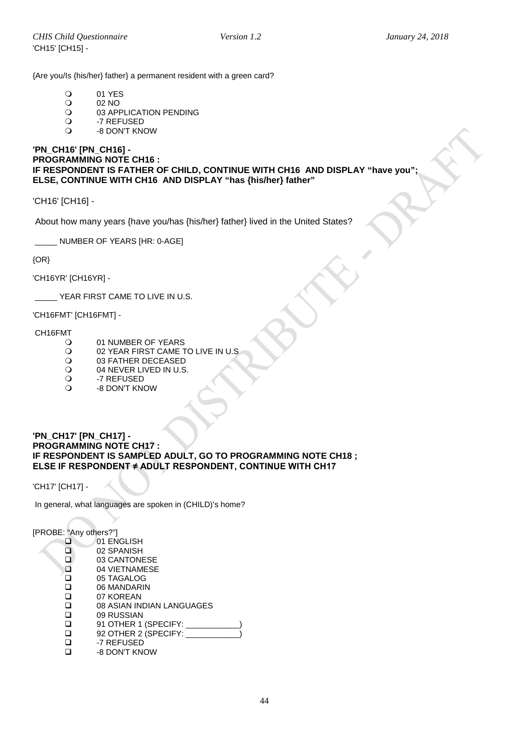{Are you/Is {his/her} father} a permanent resident with a green card?

- O 01 YES<br>O 02 NO
- O 02 NO<br>O 03 APP
- O 03 APPLICATION PENDING<br>O 7 REFUSED
- O -7 REFUSED<br>O -8 DON'T KN
- -8 DON'T KNOW

### **'PN\_CH16' [PN\_CH16] - PROGRAMMING NOTE CH16 : IF RESPONDENT IS FATHER OF CHILD, CONTINUE WITH CH16 AND DISPLAY "have you"; ELSE, CONTINUE WITH CH16 AND DISPLAY "has {his/her} father"**

'CH16' [CH16] -

About how many years {have you/has {his/her} father} lived in the United States?

NUMBER OF YEARS IHR: 0-AGE]

 ${OR}$ 

'CH16YR' [CH16YR] -

\_\_\_\_\_ YEAR FIRST CAME TO LIVE IN U.S.

'CH16FMT' [CH16FMT] -

# CH16FMT

- O 01 NUMBER OF YEARS<br>O 02 YEAR FIRST CAME T
- 02 YEAR FIRST CAME TO LIVE IN U.S
- O 03 FATHER DECEASED<br>O 04 NEVER LIVED IN U.S.
- O 04 NEVER LIVED IN U.S.<br>O -7 REFUSED
- O -7 REFUSED
- -8 DON'T KNOW

<span id="page-43-0"></span>Languages Spoken At Home

### **'PN\_CH17' [PN\_CH17] - PROGRAMMING NOTE CH17 : IF RESPONDENT IS SAMPLED ADULT, GO TO PROGRAMMING NOTE CH18 ; ELSE IF RESPONDENT ≠ ADULT RESPONDENT, CONTINUE WITH CH17**

'CH17' [CH17] -

In general, what languages are spoken in (CHILD)'s home?

[PROBE: "Any others?"]

 $\begin{array}{cc}\n 0 & 01 \\
 0 & 02\n\end{array}$  $\begin{array}{cc}\n 02 & SPANISH \\
 \hline\n 03 & CANTON\n \end{array}$ 03 CANTONESE □ 04 VIETNAMESE<br>□ 05 TAGALOG □ 05 TAGALOG<br>□ 06 MANDARII □ 06 MANDARIN<br>□ 07 KOREAN □ 07 KOREAN<br>□ 08 ASIAN IN □ 08 ASIAN INDIAN LANGUAGES<br>□ 09 RUSSIAN □ 09 RUSSIAN<br>□ 91 OTHER 1<br>□ 92 OTHER 2 91 OTHER 1 (SPECIFY: \_  $\Box$  92 OTHER 2 (SPECIFY:  $\Box$  -7 REFUSED □ -7 REFUSED<br>□ -8 DON'T KN -8 DON'T KNOW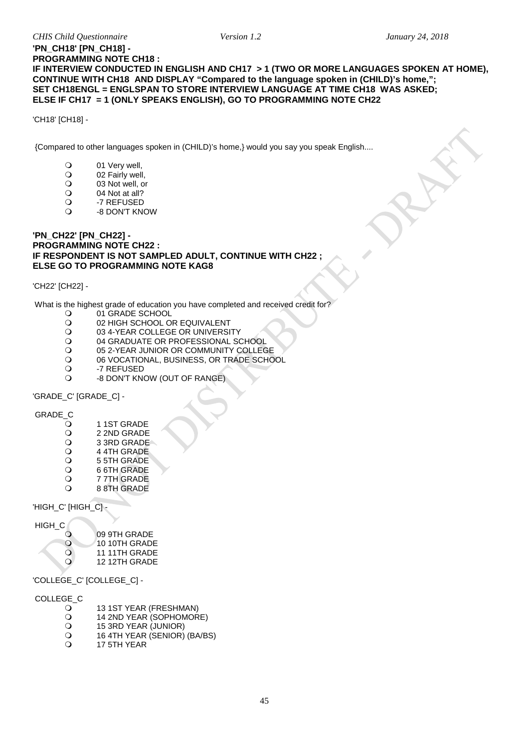### **'PN\_CH18' [PN\_CH18] - PROGRAMMING NOTE CH18 : IF INTERVIEW CONDUCTED IN ENGLISH AND CH17 > 1 (TWO OR MORE LANGUAGES SPOKEN AT HOME), CONTINUE WITH CH18 AND DISPLAY "Compared to the language spoken in (CHILD)'s home,"; SET CH18ENGL = ENGLSPAN TO STORE INTERVIEW LANGUAGE AT TIME CH18 WAS ASKED; ELSE IF CH17 = 1 (ONLY SPEAKS ENGLISH), GO TO PROGRAMMING NOTE CH22**

'CH18' [CH18] -

{Compared to other languages spoken in (CHILD)'s home,} would you say you speak English....

- O 01 Very well,<br>O 02 Fairly well
- O 02 Fairly well,<br>O 03 Not well, o
- $\begin{array}{cc}\n\text{O} & 03 \text{ Not well, or} \\
\text{O} & 04 \text{ Not at all?}\n\end{array}$
- O 04 Not at all?<br>O -7 REFUSED
- O -7 REFUSED
- -8 DON'T KNOW

#### <span id="page-44-0"></span>**'PN\_CH22' [PN\_CH22] - PROGRAMMING NOTE CH22 : IF RESPONDENT IS NOT SAMPLED ADULT, CONTINUE WITH CH22 ; ELSE GO TO PROGRAMMING NOTE KAG8**

'CH22' [CH22] -

What is the highest grade of education you have completed and received credit for?<br>  $Q = 01$  GRADE SCHOOL

- O 01 GRADE SCHOOL<br>O 02 HIGH SCHOOL O
- O 02 HIGH SCHOOL OR EQUIVALENT<br>O 03 4-YEAR COLLEGE OR UNIVERSI
- O 03 4-YEAR COLLEGE OR UNIVERSITY<br>O 04 GRADUATE OR PROFESSIONAL SO
- O 04 GRADUATE OR PROFESSIONAL SCHOOL<br>O 05 2-YEAR JUNIOR OR COMMUNITY COLLEG
- O 05 2-YEAR JUNIOR OR COMMUNITY COLLEGE<br>O 06 VOCATIONAL, BUSINESS, OR TRADE SCHO
- O 06 VOCATIONAL, BUSINESS, OR TRADE SCHOOL<br>O -7 REFUSED
- O -7 REFUSED
- -8 DON'T KNOW (OUT OF RANGE)

'GRADE\_C' [GRADE\_C] -

# GRADE\_C

- O
1 1ST GRADE
O
12 2ND GRADE
- O 2 2ND GRADE<br>O 3 3RD GRADE
- O 3 3RD GRADE<br>O 4 4TH GRADE
- O 4 4TH GRADE<br>O 5 5TH GRADE
- O 55TH GRADE<br>O 66TH GRADE
- O 66TH GRADE<br>O 77TH GRADE
- O 77TH GRADE<br>O 88TH GRADE 8 8TH GRADE

'HIGH\_C' [HIGH\_C]

| HIGH C    |               |
|-----------|---------------|
|           | 09 9TH GRADE  |
| $\Omega$  | 10 10TH GRADE |
| ∩         | 11 11TH GRADE |
| $\lambda$ | 12 12TH GRADE |
|           |               |

'COLLEGE\_C' [COLLEGE\_C] -

# COLLEGE\_C

- O 13 1ST YEAR (FRESHMAN)<br>O 14 2ND YEAR (SOPHOMOR
- O 14 2ND YEAR (SOPHOMORE)<br>O 15 3RD YEAR (JUNIOR)
- O 15 3RD YEAR (JUNIOR)<br>O 16 4TH YEAR (SENIOR)
- $\overline{O}$  16 4TH YEAR (SENIOR) (BA/BS)
- 17 5TH YEAR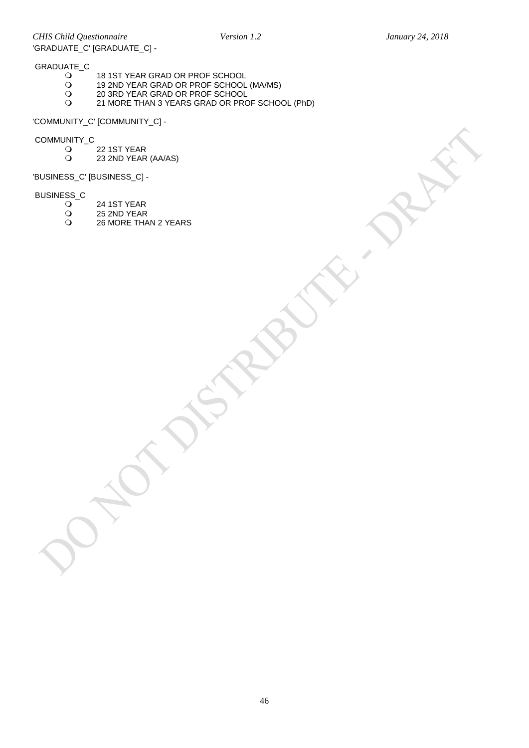*CHIS Child Questionnaire Version 1.2 January 24, 2018* 'GRADUATE\_C' [GRADUATE\_C] -

# GRADUATE\_C

- 18 1ST YEAR GRAD OR PROF SCHOOL
	- 19 2ND YEAR GRAD OR PROF SCHOOL (MA/MS)
	- 20 3RD YEAR GRAD OR PROF SCHOOL
- 21 MORE THAN 3 YEARS GRAD OR PROF SCHOOL (PhD)

'COMMUNITY\_C' [COMMUNITY\_C] -

# COMMUNITY\_C

- 0 22 1 ST YEAR<br>
23 2 ND YEAR
- 23 2ND YEAR (AA/AS)

'BUSINESS\_C' [BUSINESS\_C] -

# BUSINESS\_C

- 0 24 1ST YEAR<br>0 25 2ND YEAR
- O 25 2ND YEAR<br>O 26 MORE THA
- 26 MORE THAN 2 YEARS